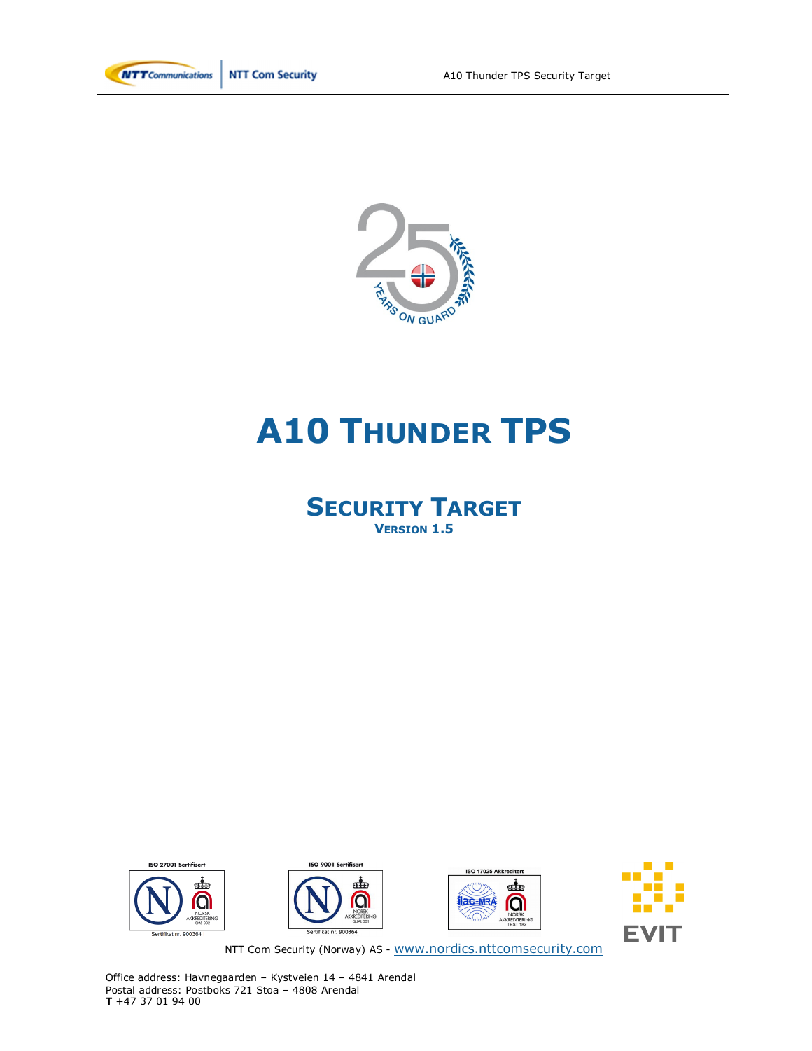

**NTT Com Security** 



# **A10 THUNDER TPS**

# **SECURITY TARGET VERSION 1.5**









NTT Com Security (Norway) AS - www.nordics.nttcomsecurity.com

Office address: Havnegaarden – Kystveien 14 – 4841 Arendal Postal address: Postboks 721 Stoa – 4808 Arendal **T** +47 37 01 94 00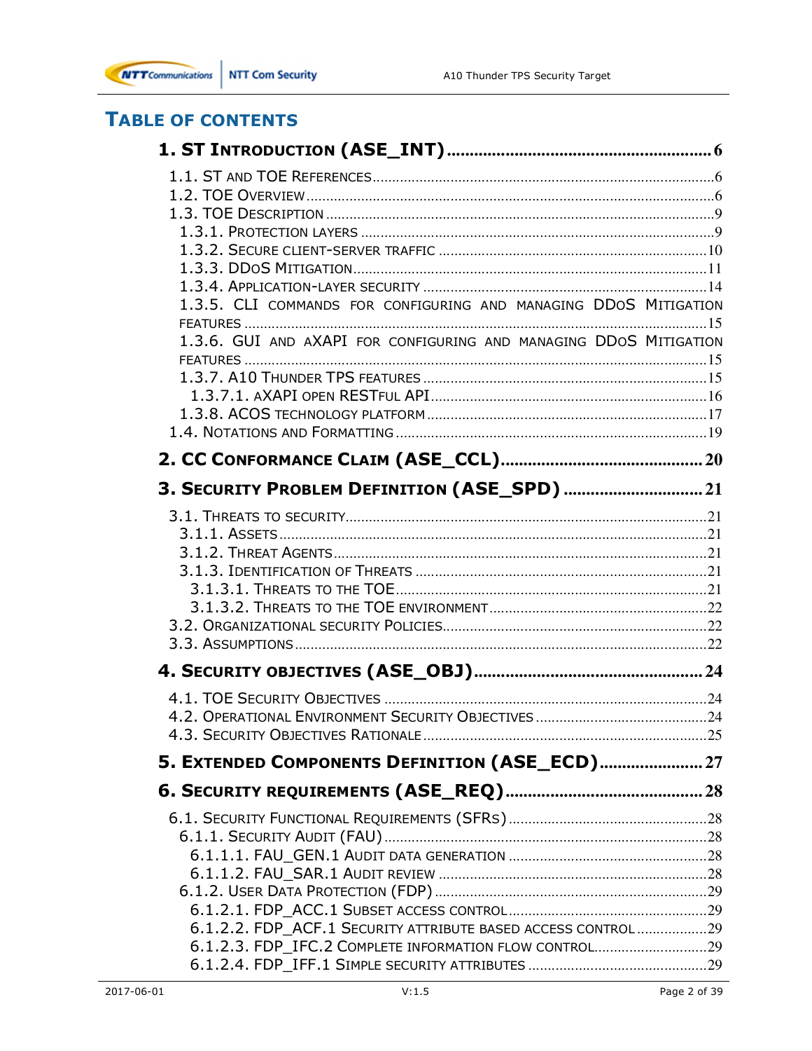

# **TABLE OF CONTENTS**

| 1.3.5. CLI COMMANDS FOR CONFIGURING AND MANAGING DDOS MITIGATION  |  |
|-------------------------------------------------------------------|--|
|                                                                   |  |
| 1.3.6. GUI AND AXAPI FOR CONFIGURING AND MANAGING DDOS MITIGATION |  |
|                                                                   |  |
|                                                                   |  |
|                                                                   |  |
|                                                                   |  |
|                                                                   |  |
|                                                                   |  |
| 3. SECURITY PROBLEM DEFINITION (ASE_SPD)  21                      |  |
|                                                                   |  |
|                                                                   |  |
|                                                                   |  |
|                                                                   |  |
|                                                                   |  |
|                                                                   |  |
|                                                                   |  |
|                                                                   |  |
|                                                                   |  |
|                                                                   |  |
|                                                                   |  |
|                                                                   |  |
| 5. EXTENDED COMPONENTS DEFINITION (ASE_ECD) 27                    |  |
|                                                                   |  |
|                                                                   |  |
|                                                                   |  |
|                                                                   |  |
|                                                                   |  |
|                                                                   |  |
|                                                                   |  |
| 6.1.2.2. FDP_ACF.1 SECURITY ATTRIBUTE BASED ACCESS CONTROL29      |  |
| 6.1.2.3. FDP_IFC.2 COMPLETE INFORMATION FLOW CONTROL29            |  |
|                                                                   |  |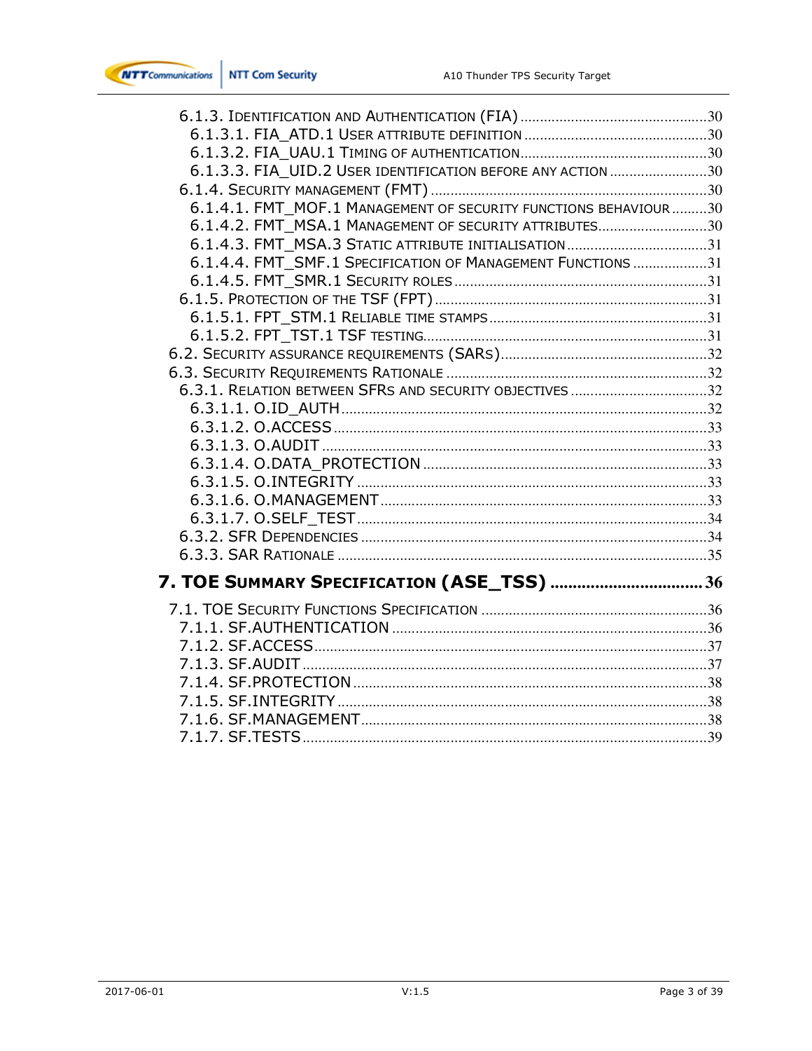

| 6.1.3.3. FIA UID.2 USER IDENTIFICATION BEFORE ANY ACTION 30     |  |
|-----------------------------------------------------------------|--|
|                                                                 |  |
| 6.1.4.1. FMT MOF.1 MANAGEMENT OF SECURITY FUNCTIONS BEHAVIOUR30 |  |
| 6.1.4.2. FMT MSA.1 MANAGEMENT OF SECURITY ATTRIBUTES30          |  |
| 6.1.4.3. FMT MSA.3 STATIC ATTRIBUTE INITIALISATION31            |  |
| 6.1.4.4. FMT SMF.1 SPECIFICATION OF MANAGEMENT FUNCTIONS 31     |  |
|                                                                 |  |
|                                                                 |  |
|                                                                 |  |
|                                                                 |  |
|                                                                 |  |
|                                                                 |  |
| 6.3.1. RELATION BETWEEN SFRS AND SECURITY OBJECTIVES32          |  |
|                                                                 |  |
|                                                                 |  |
|                                                                 |  |
|                                                                 |  |
|                                                                 |  |
|                                                                 |  |
|                                                                 |  |
|                                                                 |  |
|                                                                 |  |
| 7. TOE SUMMARY SPECIFICATION (ASE_TSS)  36                      |  |
|                                                                 |  |
|                                                                 |  |
|                                                                 |  |
|                                                                 |  |
|                                                                 |  |
|                                                                 |  |
|                                                                 |  |
|                                                                 |  |
|                                                                 |  |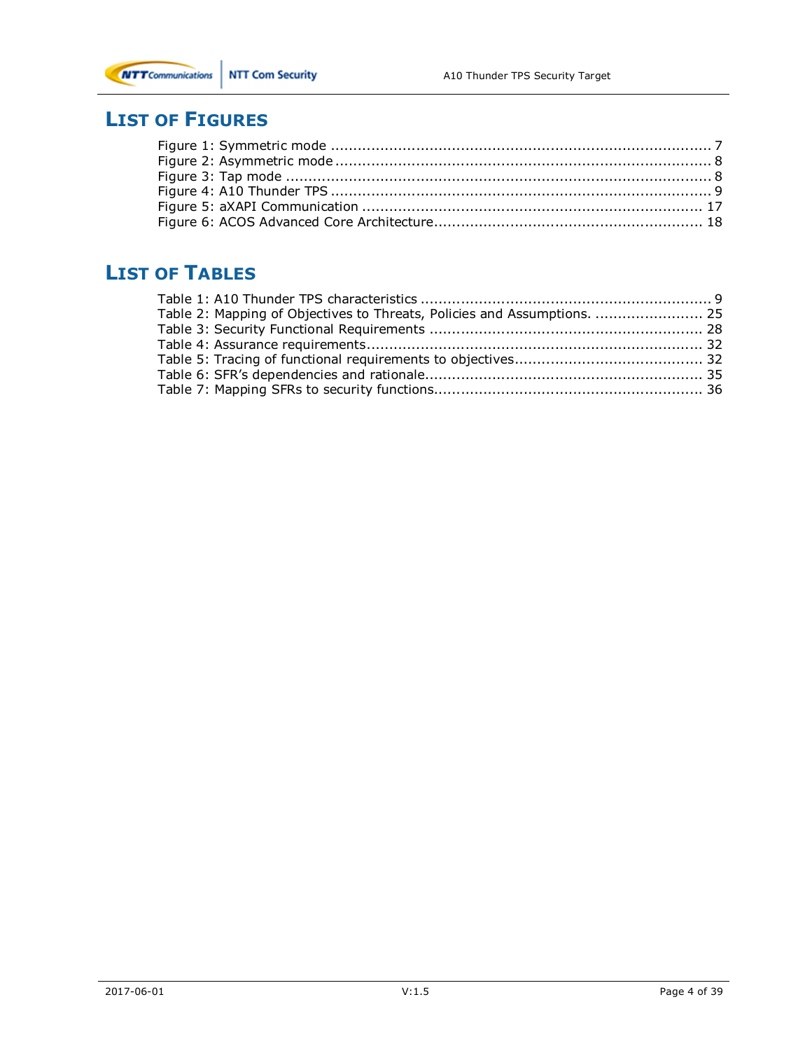

# **LIST OF FIGURES**

# **LIST OF TABLES**

| Table 2: Mapping of Objectives to Threats, Policies and Assumptions.  25 |  |
|--------------------------------------------------------------------------|--|
|                                                                          |  |
|                                                                          |  |
|                                                                          |  |
|                                                                          |  |
|                                                                          |  |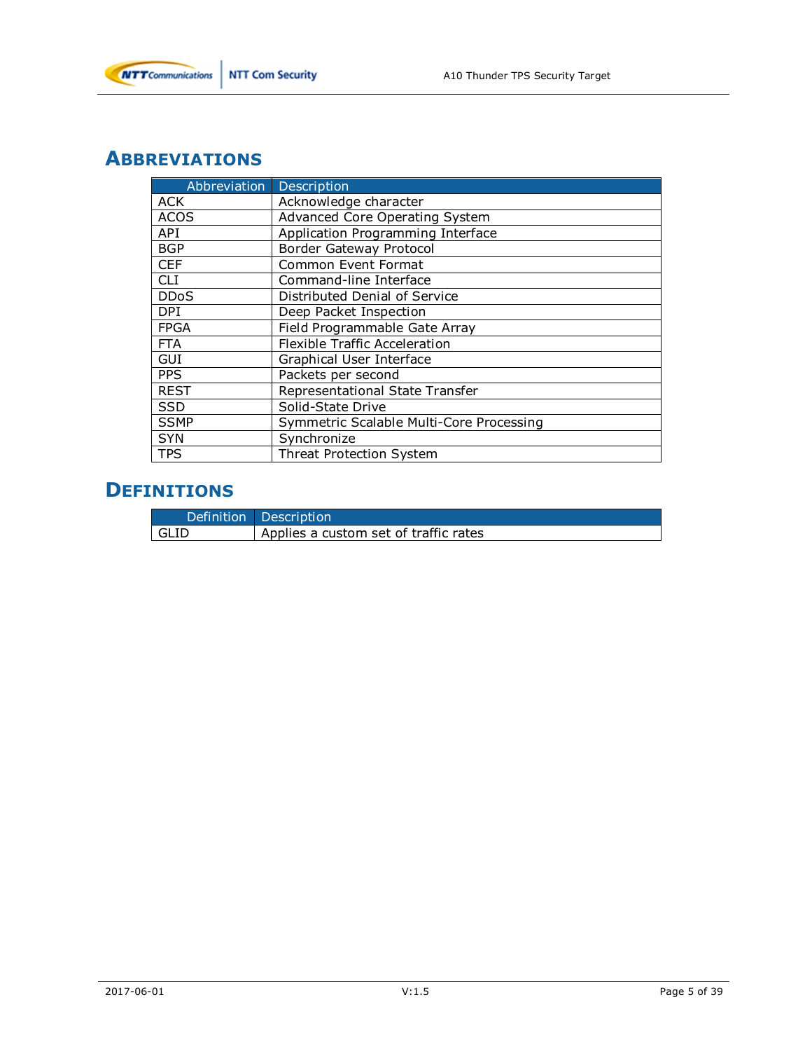

# **ABBREVIATIONS**

| Abbreviation | Description                              |
|--------------|------------------------------------------|
| ACK          | Acknowledge character                    |
| <b>ACOS</b>  | <b>Advanced Core Operating System</b>    |
| API          | Application Programming Interface        |
| <b>BGP</b>   | <b>Border Gateway Protocol</b>           |
| <b>CEF</b>   | Common Event Format                      |
| <b>CLI</b>   | Command-line Interface                   |
| <b>DDoS</b>  | Distributed Denial of Service            |
| <b>DPI</b>   | Deep Packet Inspection                   |
| <b>FPGA</b>  | Field Programmable Gate Array            |
| <b>FTA</b>   | Flexible Traffic Acceleration            |
| GUI          | Graphical User Interface                 |
| <b>PPS</b>   | Packets per second                       |
| <b>REST</b>  | Representational State Transfer          |
| <b>SSD</b>   | Solid-State Drive                        |
| <b>SSMP</b>  | Symmetric Scalable Multi-Core Processing |
| <b>SYN</b>   | Synchronize                              |
| <b>TPS</b>   | <b>Threat Protection System</b>          |

# **DEFINITIONS**

|        | Definition Description                |
|--------|---------------------------------------|
| l GLID | Applies a custom set of traffic rates |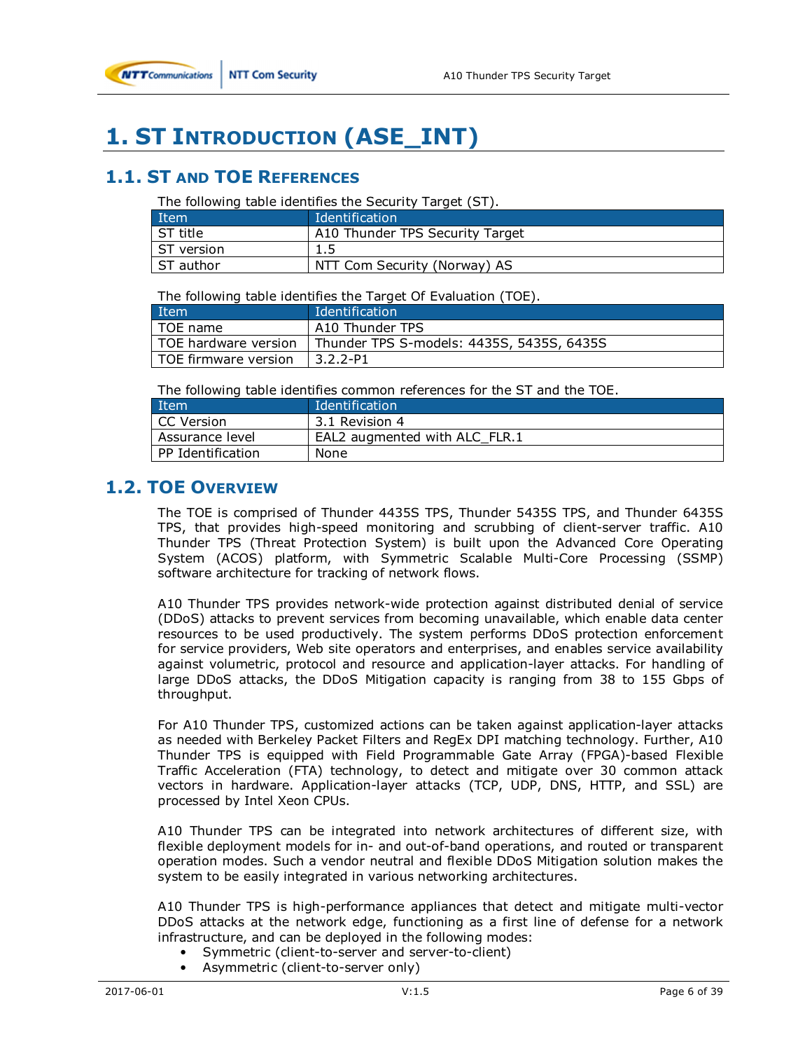# **1. ST INTRODUCTION (ASE\_INT)**

# **1.1. ST AND TOE REFERENCES**

The following table identifies the Security Target (ST).

| Item         | Identification                  |
|--------------|---------------------------------|
| ST title     | A10 Thunder TPS Security Target |
| l ST version | 1.5                             |
| ST author    | NTT Com Security (Norway) AS    |

The following table identifies the Target Of Evaluation (TOE).

| Item                 | Identification                            |
|----------------------|-------------------------------------------|
| TOE name             | A10 Thunder TPS                           |
| TOE hardware version | Thunder TPS S-models: 4435S, 5435S, 6435S |
| TOE firmware version | $3.2.2 - P1$                              |

The following table identifies common references for the ST and the TOE.

| <b>Item</b>       | Identification                |
|-------------------|-------------------------------|
| CC Version        | 3.1 Revision 4                |
| Assurance level   | EAL2 augmented with ALC FLR.1 |
| PP Identification | None                          |

## **1.2. TOE OVERVIEW**

The TOE is comprised of Thunder 4435S TPS, Thunder 5435S TPS, and Thunder 6435S TPS, that provides high-speed monitoring and scrubbing of client-server traffic. A10 Thunder TPS (Threat Protection System) is built upon the Advanced Core Operating System (ACOS) platform, with Symmetric Scalable Multi-Core Processing (SSMP) software architecture for tracking of network flows.

A10 Thunder TPS provides network-wide protection against distributed denial of service (DDoS) attacks to prevent services from becoming unavailable, which enable data center resources to be used productively. The system performs DDoS protection enforcement for service providers, Web site operators and enterprises, and enables service availability against volumetric, protocol and resource and application-layer attacks. For handling of large DDoS attacks, the DDoS Mitigation capacity is ranging from 38 to 155 Gbps of throughput.

For A10 Thunder TPS, customized actions can be taken against application-layer attacks as needed with Berkeley Packet Filters and RegEx DPI matching technology. Further, A10 Thunder TPS is equipped with Field Programmable Gate Array (FPGA)-based Flexible Traffic Acceleration (FTA) technology, to detect and mitigate over 30 common attack vectors in hardware. Application-layer attacks (TCP, UDP, DNS, HTTP, and SSL) are processed by Intel Xeon CPUs.

A10 Thunder TPS can be integrated into network architectures of different size, with flexible deployment models for in- and out-of-band operations, and routed or transparent operation modes. Such a vendor neutral and flexible DDoS Mitigation solution makes the system to be easily integrated in various networking architectures.

A10 Thunder TPS is high-performance appliances that detect and mitigate multi-vector DDoS attacks at the network edge, functioning as a first line of defense for a network infrastructure, and can be deployed in the following modes:

- Symmetric (client-to-server and server-to-client)
- Asymmetric (client-to-server only)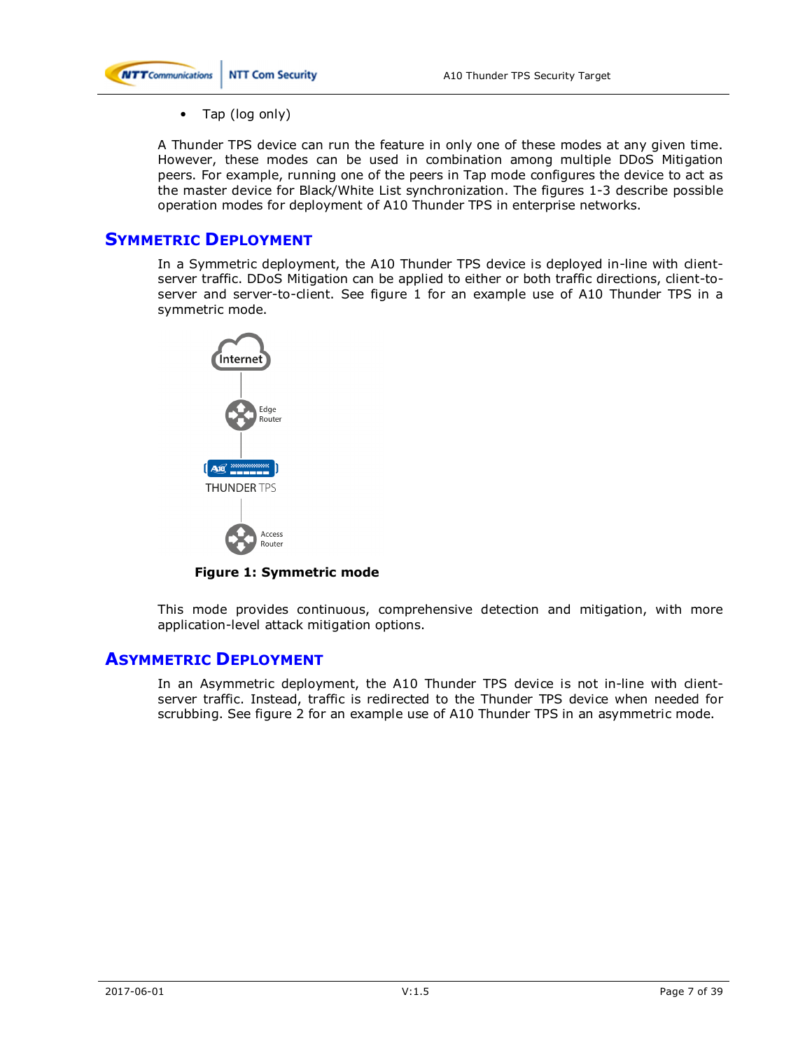

• Tap (log only)

A Thunder TPS device can run the feature in only one of these modes at any given time. However, these modes can be used in combination among multiple DDoS Mitigation peers. For example, running one of the peers in Tap mode configures the device to act as the master device for Black/White List synchronization. The figures 1-3 describe possible operation modes for deployment of A10 Thunder TPS in enterprise networks.

### **SYMMETRIC DEPLOYMENT**

In a Symmetric deployment, the A10 Thunder TPS device is deployed in-line with clientserver traffic. DDoS Mitigation can be applied to either or both traffic directions, client-toserver and server-to-client. See figure 1 for an example use of A10 Thunder TPS in a symmetric mode.



**Figure 1: Symmetric mode** 

This mode provides continuous, comprehensive detection and mitigation, with more application-level attack mitigation options.

### **ASYMMETRIC DEPLOYMENT**

In an Asymmetric deployment, the A10 Thunder TPS device is not in-line with clientserver traffic. Instead, traffic is redirected to the Thunder TPS device when needed for scrubbing. See figure 2 for an example use of A10 Thunder TPS in an asymmetric mode.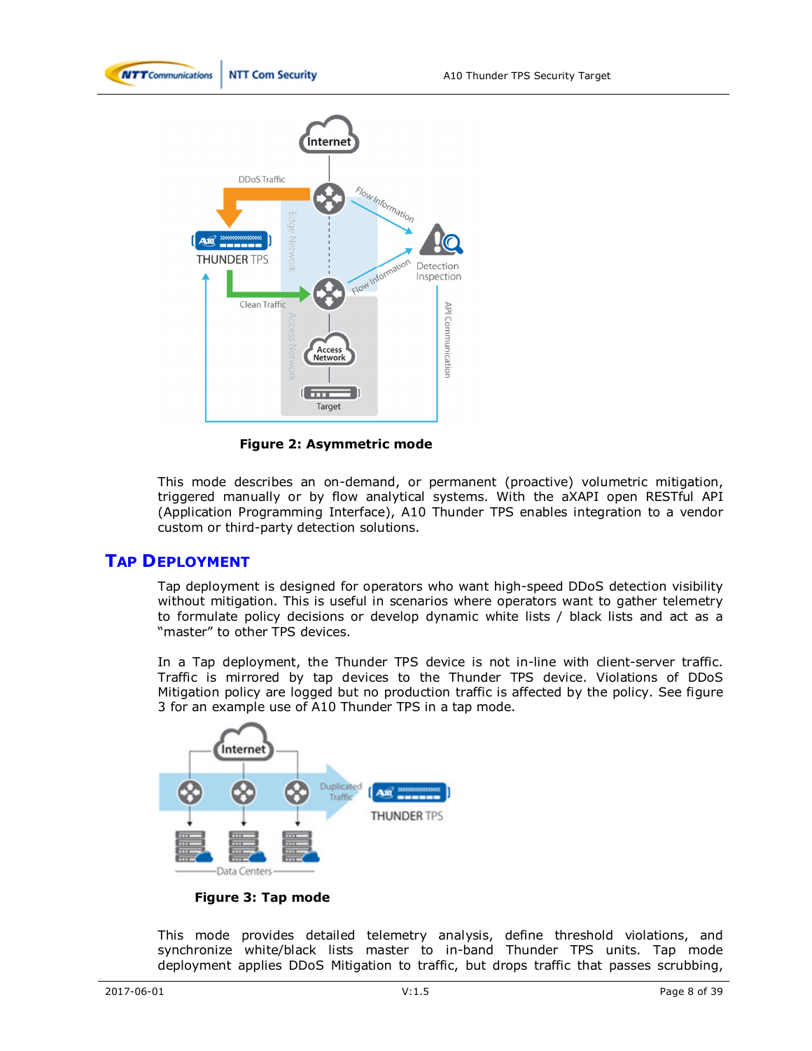



**Figure 2: Asymmetric mode** 

This mode describes an on-demand, or permanent (proactive) volumetric mitigation, triggered manually or by flow analytical systems. With the aXAPI open RESTful API (Application Programming Interface), A10 Thunder TPS enables integration to a vendor custom or third-party detection solutions.

### **TAP DEPLOYMENT**

Tap deployment is designed for operators who want high-speed DDoS detection visibility without mitigation. This is useful in scenarios where operators want to gather telemetry to formulate policy decisions or develop dynamic white lists / black lists and act as a "master" to other TPS devices.

In a Tap deployment, the Thunder TPS device is not in-line with client-server traffic. Traffic is mirrored by tap devices to the Thunder TPS device. Violations of DDoS Mitigation policy are logged but no production traffic is affected by the policy. See figure 3 for an example use of A10 Thunder TPS in a tap mode.



**Figure 3: Tap mode** 

This mode provides detailed telemetry analysis, define threshold violations, and synchronize white/black lists master to in-band Thunder TPS units. Tap mode deployment applies DDoS Mitigation to traffic, but drops traffic that passes scrubbing,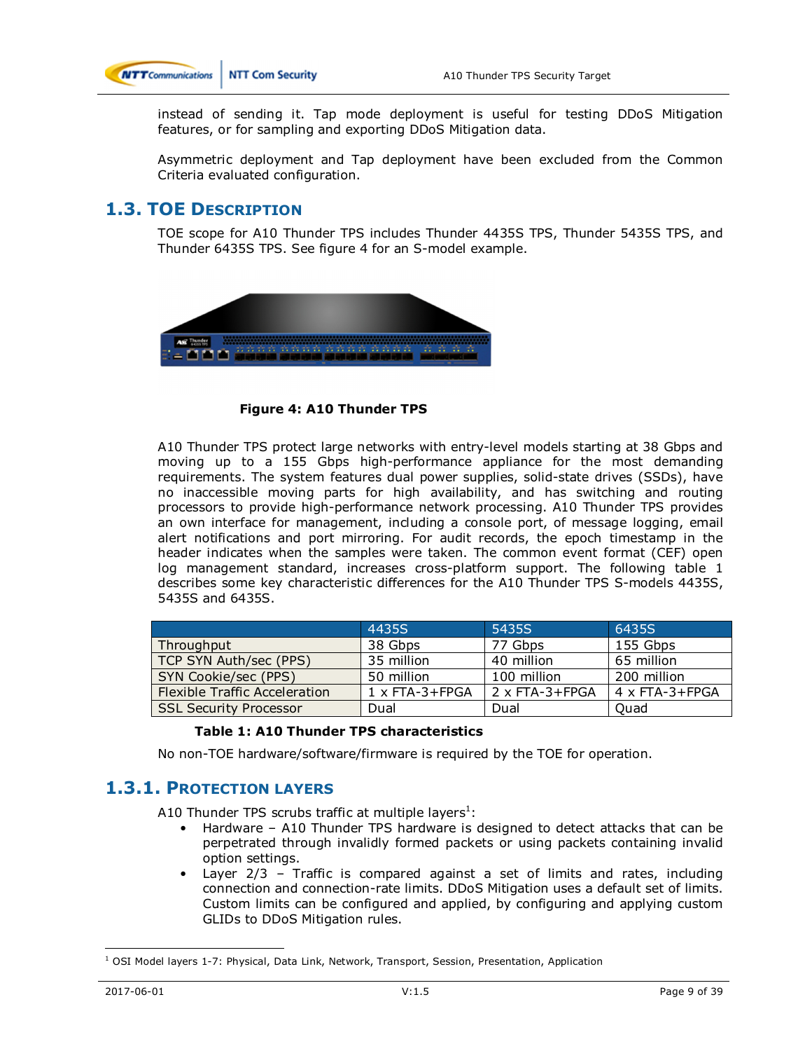

instead of sending it. Tap mode deployment is useful for testing DDoS Mitigation features, or for sampling and exporting DDoS Mitigation data.

Asymmetric deployment and Tap deployment have been excluded from the Common Criteria evaluated configuration.

### **1.3. TOE DESCRIPTION**

TOE scope for A10 Thunder TPS includes Thunder 4435S TPS, Thunder 5435S TPS, and Thunder 6435S TPS. See figure 4 for an S-model example.



**Figure 4: A10 Thunder TPS** 

A10 Thunder TPS protect large networks with entry-level models starting at 38 Gbps and moving up to a 155 Gbps high-performance appliance for the most demanding requirements. The system features dual power supplies, solid-state drives (SSDs), have no inaccessible moving parts for high availability, and has switching and routing processors to provide high-performance network processing. A10 Thunder TPS provides an own interface for management, including a console port, of message logging, email alert notifications and port mirroring. For audit records, the epoch timestamp in the header indicates when the samples were taken. The common event format (CEF) open log management standard, increases cross-platform support. The following table 1 describes some key characteristic differences for the A10 Thunder TPS S-models 4435S, 5435S and 6435S.

|                                      | 4435S                 | 5435S          | 6435S          |
|--------------------------------------|-----------------------|----------------|----------------|
| Throughput                           | 38 Gbps               | 77 Gbps        | 155 Gbps       |
| TCP SYN Auth/sec (PPS)               | 35 million            | 40 million     | 65 million     |
| SYN Cookie/sec (PPS)                 | 50 million            | 100 million    | 200 million    |
| <b>Flexible Traffic Acceleration</b> | $1 \times$ FTA-3+FPGA | 2 x FTA-3+FPGA | 4 x FTA-3+FPGA |
| <b>SSL Security Processor</b>        | Dual                  | Dual           | Ouad           |

#### **Table 1: A10 Thunder TPS characteristics**

No non-TOE hardware/software/firmware is required by the TOE for operation.

### **1.3.1. PROTECTION LAYERS**

A10 Thunder TPS scrubs traffic at multiple layers $^1$ :

- Hardware A10 Thunder TPS hardware is designed to detect attacks that can be perpetrated through invalidly formed packets or using packets containing invalid option settings.
- Layer 2/3 Traffic is compared against a set of limits and rates, including connection and connection-rate limits. DDoS Mitigation uses a default set of limits. Custom limits can be configured and applied, by configuring and applying custom GLIDs to DDoS Mitigation rules.

 $\overline{a}$ <sup>1</sup> OSI Model layers 1-7: Physical, Data Link, Network, Transport, Session, Presentation, Application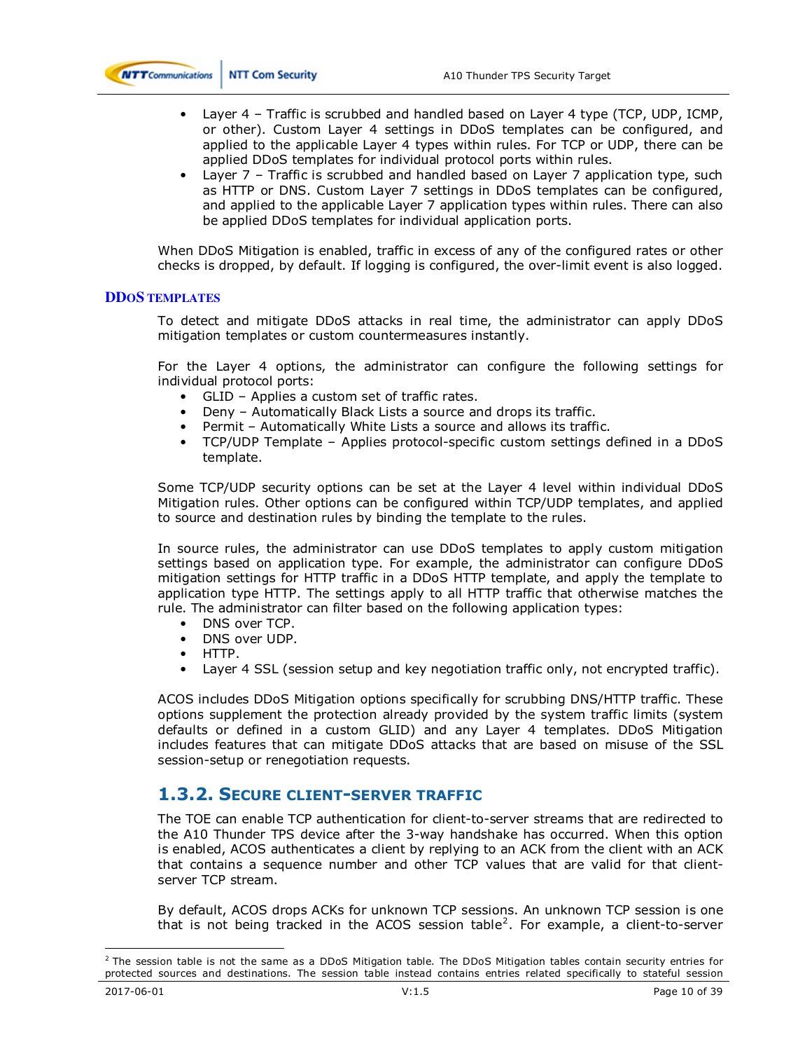

- Layer 4 Traffic is scrubbed and handled based on Layer 4 type (TCP, UDP, ICMP, or other). Custom Layer 4 settings in DDoS templates can be configured, and applied to the applicable Layer 4 types within rules. For TCP or UDP, there can be applied DDoS templates for individual protocol ports within rules.
- Layer 7 Traffic is scrubbed and handled based on Layer 7 application type, such as HTTP or DNS. Custom Layer 7 settings in DDoS templates can be configured, and applied to the applicable Layer 7 application types within rules. There can also be applied DDoS templates for individual application ports.

When DDoS Mitigation is enabled, traffic in excess of any of the configured rates or other checks is dropped, by default. If logging is configured, the over-limit event is also logged.

#### **DDOS TEMPLATES**

To detect and mitigate DDoS attacks in real time, the administrator can apply DDoS mitigation templates or custom countermeasures instantly.

For the Layer 4 options, the administrator can configure the following settings for individual protocol ports:

- GLID Applies a custom set of traffic rates.
- Deny Automatically Black Lists a source and drops its traffic.
- Permit Automatically White Lists a source and allows its traffic.
- TCP/UDP Template Applies protocol-specific custom settings defined in a DDoS template.

Some TCP/UDP security options can be set at the Layer 4 level within individual DDoS Mitigation rules. Other options can be configured within TCP/UDP templates, and applied to source and destination rules by binding the template to the rules.

In source rules, the administrator can use DDoS templates to apply custom mitigation settings based on application type. For example, the administrator can configure DDoS mitigation settings for HTTP traffic in a DDoS HTTP template, and apply the template to application type HTTP. The settings apply to all HTTP traffic that otherwise matches the rule. The administrator can filter based on the following application types:

- DNS over TCP.
- DNS over UDP.
- HTTP.
- Layer 4 SSL (session setup and key negotiation traffic only, not encrypted traffic).

ACOS includes DDoS Mitigation options specifically for scrubbing DNS/HTTP traffic. These options supplement the protection already provided by the system traffic limits (system defaults or defined in a custom GLID) and any Layer 4 templates. DDoS Mitigation includes features that can mitigate DDoS attacks that are based on misuse of the SSL session-setup or renegotiation requests.

### **1.3.2. SECURE CLIENT-SERVER TRAFFIC**

The TOE can enable TCP authentication for client-to-server streams that are redirected to the A10 Thunder TPS device after the 3-way handshake has occurred. When this option is enabled, ACOS authenticates a client by replying to an ACK from the client with an ACK that contains a sequence number and other TCP values that are valid for that clientserver TCP stream.

By default, ACOS drops ACKs for unknown TCP sessions. An unknown TCP session is one that is not being tracked in the ACOS session table<sup>2</sup>. For example, a client-to-server

 $\overline{a}$ 

 $^2$  The session table is not the same as a DDoS Mitigation table. The DDoS Mitigation tables contain security entries for protected sources and destinations. The session table instead contains entries related specifically to stateful session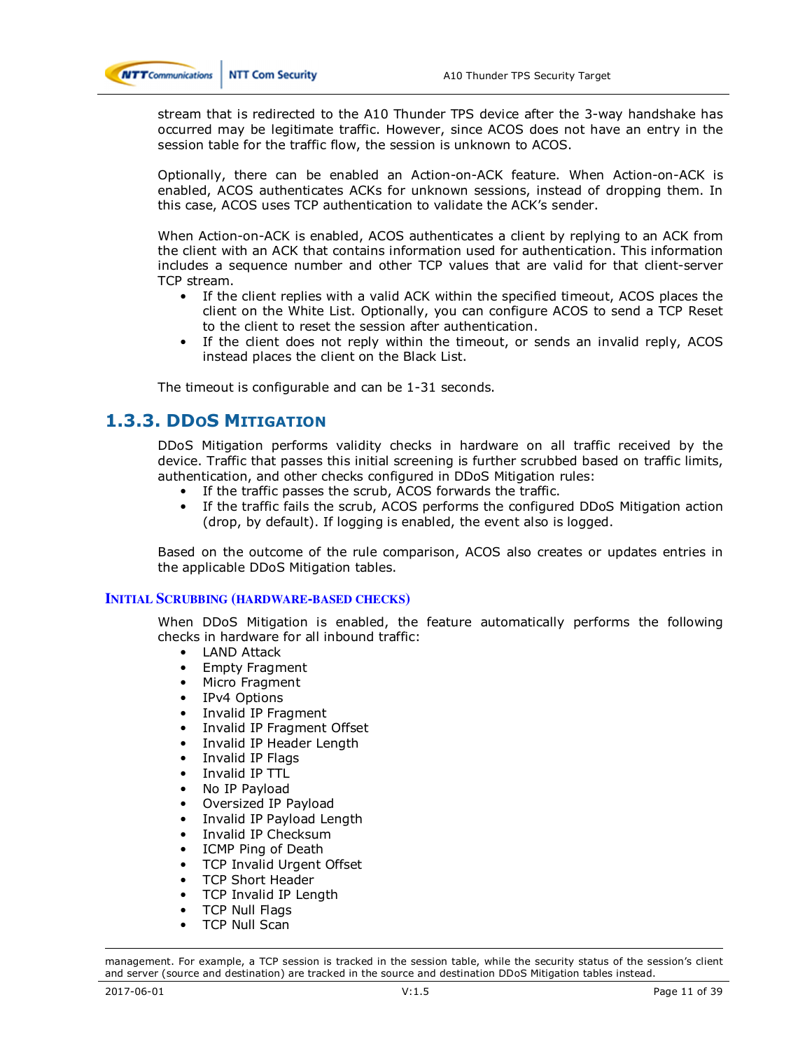

stream that is redirected to the A10 Thunder TPS device after the 3-way handshake has occurred may be legitimate traffic. However, since ACOS does not have an entry in the session table for the traffic flow, the session is unknown to ACOS.

Optionally, there can be enabled an Action-on-ACK feature. When Action-on-ACK is enabled, ACOS authenticates ACKs for unknown sessions, instead of dropping them. In this case, ACOS uses TCP authentication to validate the ACK's sender.

When Action-on-ACK is enabled, ACOS authenticates a client by replying to an ACK from the client with an ACK that contains information used for authentication. This information includes a sequence number and other TCP values that are valid for that client-server TCP stream.

- If the client replies with a valid ACK within the specified timeout, ACOS places the client on the White List. Optionally, you can configure ACOS to send a TCP Reset to the client to reset the session after authentication.
- If the client does not reply within the timeout, or sends an invalid reply, ACOS instead places the client on the Black List.

The timeout is configurable and can be 1-31 seconds.

### **1.3.3. DDOS MITIGATION**

DDoS Mitigation performs validity checks in hardware on all traffic received by the device. Traffic that passes this initial screening is further scrubbed based on traffic limits, authentication, and other checks configured in DDoS Mitigation rules:

- If the traffic passes the scrub, ACOS forwards the traffic.
- If the traffic fails the scrub, ACOS performs the configured DDoS Mitigation action (drop, by default). If logging is enabled, the event also is logged.

Based on the outcome of the rule comparison, ACOS also creates or updates entries in the applicable DDoS Mitigation tables.

#### **INITIAL SCRUBBING (HARDWARE-BASED CHECKS)**

When DDoS Mitigation is enabled, the feature automatically performs the following checks in hardware for all inbound traffic:

- LAND Attack
- Empty Fragment
- Micro Fragment
- IPv4 Options
- Invalid IP Fragment
- Invalid IP Fragment Offset
- Invalid IP Header Length
- Invalid IP Flags
- Invalid IP TTL
- No IP Payload
- Oversized IP Payload
- Invalid IP Payload Length
- Invalid IP Checksum
- ICMP Ping of Death
- TCP Invalid Urgent Offset
- TCP Short Header
- TCP Invalid IP Length
- TCP Null Flags
- TCP Null Scan

management. For example, a TCP session is tracked in the session table, while the security status of the session's client and server (source and destination) are tracked in the source and destination DDoS Mitigation tables instead.

 $\overline{a}$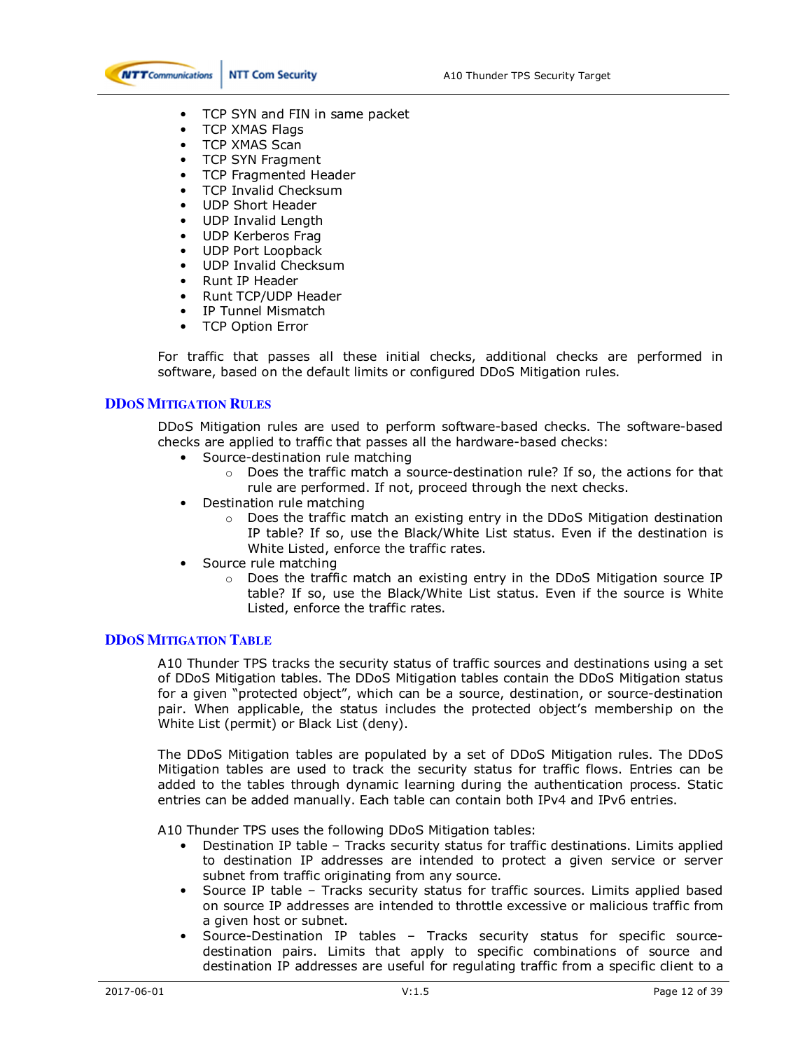

- TCP SYN and FIN in same packet
- TCP XMAS Flags
- TCP XMAS Scan
- TCP SYN Fragment
- TCP Fragmented Header
- TCP Invalid Checksum
- UDP Short Header
- UDP Invalid Length
- UDP Kerberos Frag
- UDP Port Loopback
- UDP Invalid Checksum
- Runt IP Header
- Runt TCP/UDP Header
- IP Tunnel Mismatch
- TCP Option Error

For traffic that passes all these initial checks, additional checks are performed in software, based on the default limits or configured DDoS Mitigation rules.

#### **DDOS MITIGATION RULES**

DDoS Mitigation rules are used to perform software-based checks. The software-based checks are applied to traffic that passes all the hardware-based checks:

- Source-destination rule matching
	- $\circ$  Does the traffic match a source-destination rule? If so, the actions for that rule are performed. If not, proceed through the next checks.
- Destination rule matching
	- $\circ$  Does the traffic match an existing entry in the DDoS Mitigation destination IP table? If so, use the Black/White List status. Even if the destination is White Listed, enforce the traffic rates.
- Source rule matching
	- $\circ$  Does the traffic match an existing entry in the DDoS Mitigation source IP table? If so, use the Black/White List status. Even if the source is White Listed, enforce the traffic rates.

#### **DDOS MITIGATION TABLE**

A10 Thunder TPS tracks the security status of traffic sources and destinations using a set of DDoS Mitigation tables. The DDoS Mitigation tables contain the DDoS Mitigation status for a given "protected object", which can be a source, destination, or source-destination pair. When applicable, the status includes the protected object's membership on the White List (permit) or Black List (deny).

The DDoS Mitigation tables are populated by a set of DDoS Mitigation rules. The DDoS Mitigation tables are used to track the security status for traffic flows. Entries can be added to the tables through dynamic learning during the authentication process. Static entries can be added manually. Each table can contain both IPv4 and IPv6 entries.

A10 Thunder TPS uses the following DDoS Mitigation tables:

- Destination IP table Tracks security status for traffic destinations. Limits applied to destination IP addresses are intended to protect a given service or server subnet from traffic originating from any source.
- Source IP table Tracks security status for traffic sources. Limits applied based on source IP addresses are intended to throttle excessive or malicious traffic from a given host or subnet.
- Source-Destination IP tables Tracks security status for specific sourcedestination pairs. Limits that apply to specific combinations of source and destination IP addresses are useful for regulating traffic from a specific client to a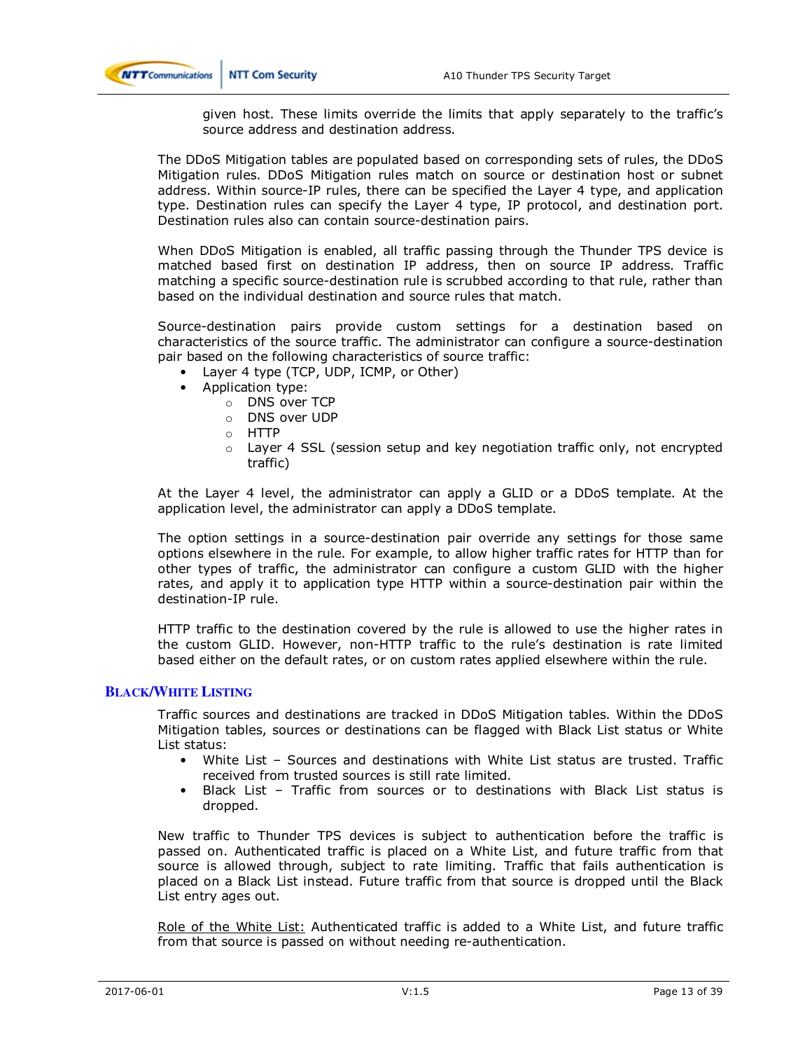

given host. These limits override the limits that apply separately to the traffic's source address and destination address.

The DDoS Mitigation tables are populated based on corresponding sets of rules, the DDoS Mitigation rules. DDoS Mitigation rules match on source or destination host or subnet address. Within source-IP rules, there can be specified the Layer 4 type, and application type. Destination rules can specify the Layer 4 type, IP protocol, and destination port. Destination rules also can contain source-destination pairs.

When DDoS Mitigation is enabled, all traffic passing through the Thunder TPS device is matched based first on destination IP address, then on source IP address. Traffic matching a specific source-destination rule is scrubbed according to that rule, rather than based on the individual destination and source rules that match.

Source-destination pairs provide custom settings for a destination based on characteristics of the source traffic. The administrator can configure a source-destination pair based on the following characteristics of source traffic:

- Layer 4 type (TCP, UDP, ICMP, or Other)
	- Application type:
		- o DNS over TCP
		- o DNS over UDP
		- o HTTP
		- $\circ$  Layer 4 SSL (session setup and key negotiation traffic only, not encrypted traffic)

At the Layer 4 level, the administrator can apply a GLID or a DDoS template. At the application level, the administrator can apply a DDoS template.

The option settings in a source-destination pair override any settings for those same options elsewhere in the rule. For example, to allow higher traffic rates for HTTP than for other types of traffic, the administrator can configure a custom GLID with the higher rates, and apply it to application type HTTP within a source-destination pair within the destination-IP rule.

HTTP traffic to the destination covered by the rule is allowed to use the higher rates in the custom GLID. However, non-HTTP traffic to the rule's destination is rate limited based either on the default rates, or on custom rates applied elsewhere within the rule.

#### **BLACK/WHITE LISTING**

Traffic sources and destinations are tracked in DDoS Mitigation tables. Within the DDoS Mitigation tables, sources or destinations can be flagged with Black List status or White List status:

- White List Sources and destinations with White List status are trusted. Traffic received from trusted sources is still rate limited.
- Black List Traffic from sources or to destinations with Black List status is dropped.

New traffic to Thunder TPS devices is subject to authentication before the traffic is passed on. Authenticated traffic is placed on a White List, and future traffic from that source is allowed through, subject to rate limiting. Traffic that fails authentication is placed on a Black List instead. Future traffic from that source is dropped until the Black List entry ages out.

Role of the White List: Authenticated traffic is added to a White List, and future traffic from that source is passed on without needing re-authentication.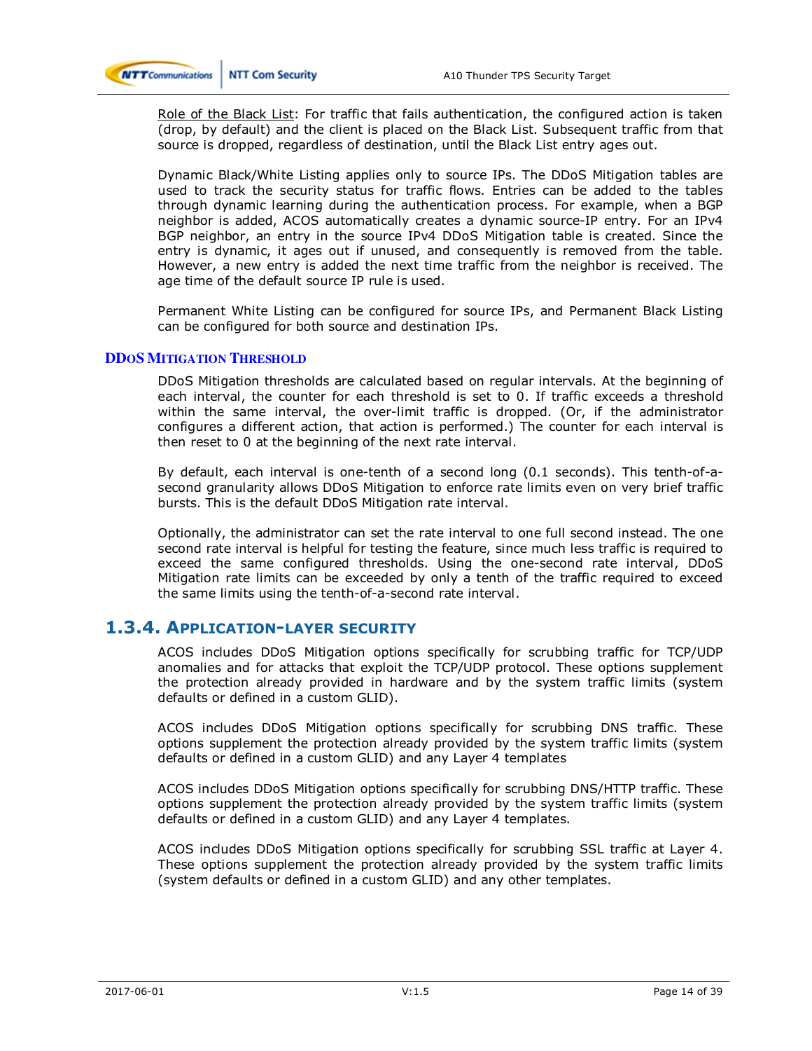

Role of the Black List: For traffic that fails authentication, the configured action is taken (drop, by default) and the client is placed on the Black List. Subsequent traffic from that source is dropped, regardless of destination, until the Black List entry ages out.

Dynamic Black/White Listing applies only to source IPs. The DDoS Mitigation tables are used to track the security status for traffic flows. Entries can be added to the tables through dynamic learning during the authentication process. For example, when a BGP neighbor is added, ACOS automatically creates a dynamic source-IP entry. For an IPv4 BGP neighbor, an entry in the source IPv4 DDoS Mitigation table is created. Since the entry is dynamic, it ages out if unused, and consequently is removed from the table. However, a new entry is added the next time traffic from the neighbor is received. The age time of the default source IP rule is used.

Permanent White Listing can be configured for source IPs, and Permanent Black Listing can be configured for both source and destination IPs.

#### **DDOS MITIGATION THRESHOLD**

DDoS Mitigation thresholds are calculated based on regular intervals. At the beginning of each interval, the counter for each threshold is set to 0. If traffic exceeds a threshold within the same interval, the over-limit traffic is dropped. (Or, if the administrator configures a different action, that action is performed.) The counter for each interval is then reset to 0 at the beginning of the next rate interval.

By default, each interval is one-tenth of a second long (0.1 seconds). This tenth-of-asecond granularity allows DDoS Mitigation to enforce rate limits even on very brief traffic bursts. This is the default DDoS Mitigation rate interval.

Optionally, the administrator can set the rate interval to one full second instead. The one second rate interval is helpful for testing the feature, since much less traffic is required to exceed the same configured thresholds. Using the one-second rate interval, DDoS Mitigation rate limits can be exceeded by only a tenth of the traffic required to exceed the same limits using the tenth-of-a-second rate interval.

### **1.3.4. APPLICATION-LAYER SECURITY**

ACOS includes DDoS Mitigation options specifically for scrubbing traffic for TCP/UDP anomalies and for attacks that exploit the TCP/UDP protocol. These options supplement the protection already provided in hardware and by the system traffic limits (system defaults or defined in a custom GLID).

ACOS includes DDoS Mitigation options specifically for scrubbing DNS traffic. These options supplement the protection already provided by the system traffic limits (system defaults or defined in a custom GLID) and any Layer 4 templates

ACOS includes DDoS Mitigation options specifically for scrubbing DNS/HTTP traffic. These options supplement the protection already provided by the system traffic limits (system defaults or defined in a custom GLID) and any Layer 4 templates.

ACOS includes DDoS Mitigation options specifically for scrubbing SSL traffic at Layer 4. These options supplement the protection already provided by the system traffic limits (system defaults or defined in a custom GLID) and any other templates.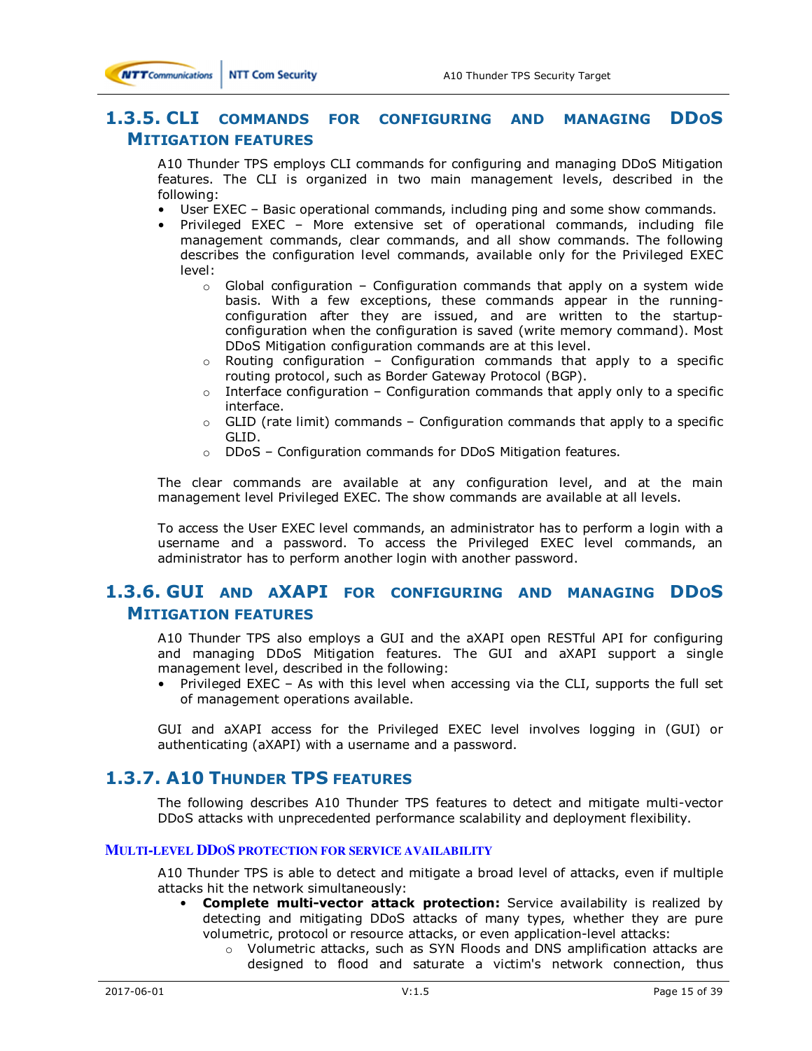**NTT** Communications

### **1.3.5. CLI COMMANDS FOR CONFIGURING AND MANAGING DDOS MITIGATION FEATURES**

A10 Thunder TPS employs CLI commands for configuring and managing DDoS Mitigation features. The CLI is organized in two main management levels, described in the following:

- User EXEC Basic operational commands, including ping and some show commands.
- Privileged EXEC More extensive set of operational commands, including file management commands, clear commands, and all show commands. The following describes the configuration level commands, available only for the Privileged EXEC level:
	- $\circ$  Global configuration Configuration commands that apply on a system wide basis. With a few exceptions, these commands appear in the runningconfiguration after they are issued, and are written to the startupconfiguration when the configuration is saved (write memory command). Most DDoS Mitigation configuration commands are at this level.
	- $\circ$  Routing configuration Configuration commands that apply to a specific routing protocol, such as Border Gateway Protocol (BGP).
	- $\circ$  Interface configuration Configuration commands that apply only to a specific interface.
	- $\circ$  GLID (rate limit) commands Configuration commands that apply to a specific GLID.
	- o DDoS Configuration commands for DDoS Mitigation features.

The clear commands are available at any configuration level, and at the main management level Privileged EXEC. The show commands are available at all levels.

To access the User EXEC level commands, an administrator has to perform a login with a username and a password. To access the Privileged EXEC level commands, an administrator has to perform another login with another password.

### **1.3.6. GUI AND AXAPI FOR CONFIGURING AND MANAGING DDOS MITIGATION FEATURES**

A10 Thunder TPS also employs a GUI and the aXAPI open RESTful API for configuring and managing DDoS Mitigation features. The GUI and aXAPI support a single management level, described in the following:

• Privileged EXEC – As with this level when accessing via the CLI, supports the full set of management operations available.

GUI and aXAPI access for the Privileged EXEC level involves logging in (GUI) or authenticating (aXAPI) with a username and a password.

### **1.3.7. A10 THUNDER TPS FEATURES**

The following describes A10 Thunder TPS features to detect and mitigate multi-vector DDoS attacks with unprecedented performance scalability and deployment flexibility.

#### **MULTI-LEVEL DDOS PROTECTION FOR SERVICE AVAILABILITY**

A10 Thunder TPS is able to detect and mitigate a broad level of attacks, even if multiple attacks hit the network simultaneously:

- **Complete multi-vector attack protection:** Service availability is realized by detecting and mitigating DDoS attacks of many types, whether they are pure volumetric, protocol or resource attacks, or even application-level attacks:
	- o Volumetric attacks, such as SYN Floods and DNS amplification attacks are designed to flood and saturate a victim's network connection, thus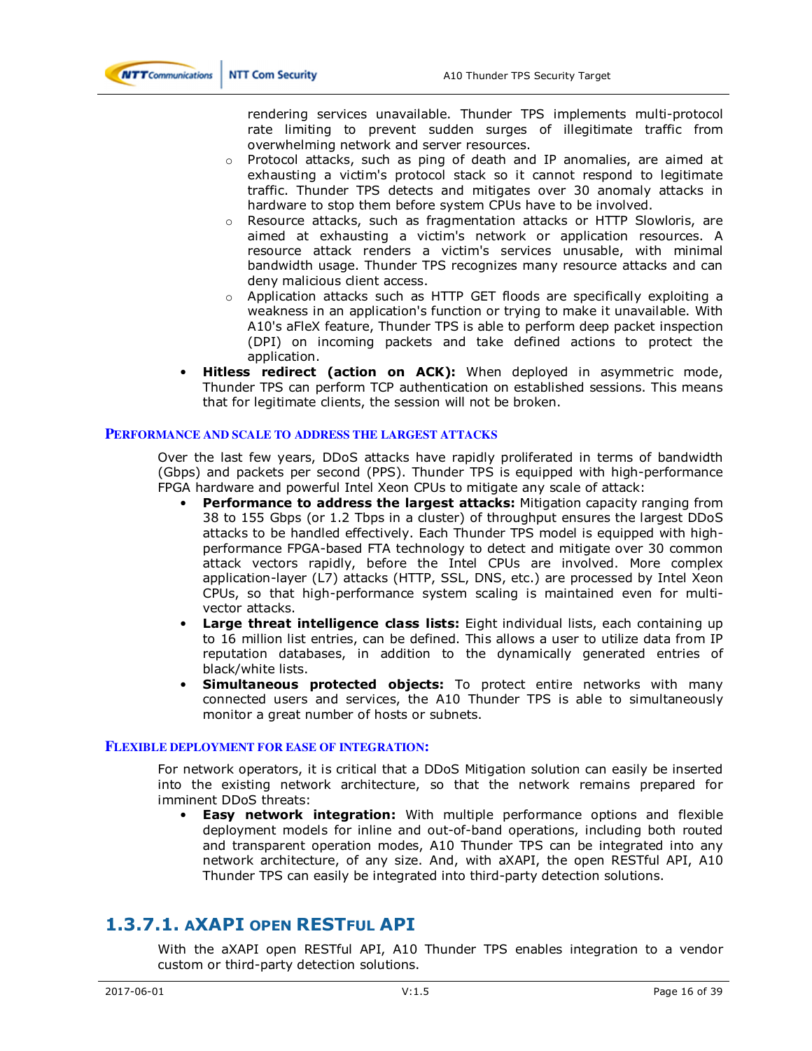

rendering services unavailable. Thunder TPS implements multi-protocol rate limiting to prevent sudden surges of illegitimate traffic from overwhelming network and server resources.

- $\circ$  Protocol attacks, such as ping of death and IP anomalies, are aimed at exhausting a victim's protocol stack so it cannot respond to legitimate traffic. Thunder TPS detects and mitigates over 30 anomaly attacks in hardware to stop them before system CPUs have to be involved.
- $\circ$  Resource attacks, such as fragmentation attacks or HTTP Slowloris, are aimed at exhausting a victim's network or application resources. A resource attack renders a victim's services unusable, with minimal bandwidth usage. Thunder TPS recognizes many resource attacks and can deny malicious client access.
- $\circ$  Application attacks such as HTTP GET floods are specifically exploiting a weakness in an application's function or trying to make it unavailable. With A10's aFleX feature, Thunder TPS is able to perform deep packet inspection (DPI) on incoming packets and take defined actions to protect the application.
- **Hitless redirect (action on ACK):** When deployed in asymmetric mode, Thunder TPS can perform TCP authentication on established sessions. This means that for legitimate clients, the session will not be broken.

#### **PERFORMANCE AND SCALE TO ADDRESS THE LARGEST ATTACKS**

Over the last few years, DDoS attacks have rapidly proliferated in terms of bandwidth (Gbps) and packets per second (PPS). Thunder TPS is equipped with high-performance FPGA hardware and powerful Intel Xeon CPUs to mitigate any scale of attack:

- **Performance to address the largest attacks:** Mitigation capacity ranging from 38 to 155 Gbps (or 1.2 Tbps in a cluster) of throughput ensures the largest DDoS attacks to be handled effectively. Each Thunder TPS model is equipped with highperformance FPGA-based FTA technology to detect and mitigate over 30 common attack vectors rapidly, before the Intel CPUs are involved. More complex application-layer (L7) attacks (HTTP, SSL, DNS, etc.) are processed by Intel Xeon CPUs, so that high-performance system scaling is maintained even for multivector attacks.
- **Large threat intelligence class lists:** Eight individual lists, each containing up to 16 million list entries, can be defined. This allows a user to utilize data from IP reputation databases, in addition to the dynamically generated entries of black/white lists.
- **Simultaneous protected objects:** To protect entire networks with many connected users and services, the A10 Thunder TPS is able to simultaneously monitor a great number of hosts or subnets.

#### **FLEXIBLE DEPLOYMENT FOR EASE OF INTEGRATION:**

For network operators, it is critical that a DDoS Mitigation solution can easily be inserted into the existing network architecture, so that the network remains prepared for imminent DDoS threats:

**Easy network integration:** With multiple performance options and flexible deployment models for inline and out-of-band operations, including both routed and transparent operation modes, A10 Thunder TPS can be integrated into any network architecture, of any size. And, with aXAPI, the open RESTful API, A10 Thunder TPS can easily be integrated into third-party detection solutions.

# **1.3.7.1. AXAPI OPEN RESTFUL API**

With the aXAPI open RESTful API, A10 Thunder TPS enables integration to a vendor custom or third-party detection solutions.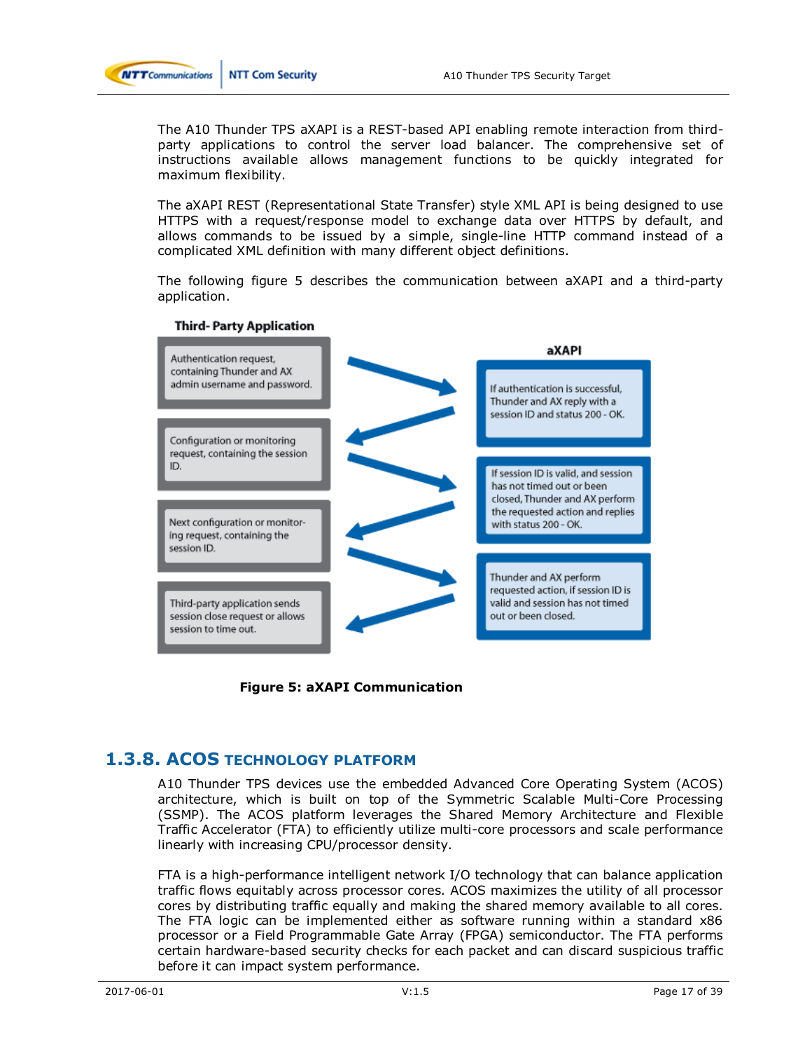

The A10 Thunder TPS aXAPI is a REST-based API enabling remote interaction from thirdparty applications to control the server load balancer. The comprehensive set of instructions available allows management functions to be quickly integrated for maximum flexibility.

The aXAPI REST (Representational State Transfer) style XML API is being designed to use HTTPS with a request/response model to exchange data over HTTPS by default, and allows commands to be issued by a simple, single-line HTTP command instead of a complicated XML definition with many different object definitions.

The following figure 5 describes the communication between aXAPI and a third-party application.



#### **Third-Party Application**

**Figure 5: aXAPI Communication** 

### **1.3.8. ACOS TECHNOLOGY PLATFORM**

A10 Thunder TPS devices use the embedded Advanced Core Operating System (ACOS) architecture, which is built on top of the Symmetric Scalable Multi-Core Processing (SSMP). The ACOS platform leverages the Shared Memory Architecture and Flexible Traffic Accelerator (FTA) to efficiently utilize multi-core processors and scale performance linearly with increasing CPU/processor density.

FTA is a high-performance intelligent network I/O technology that can balance application traffic flows equitably across processor cores. ACOS maximizes the utility of all processor cores by distributing traffic equally and making the shared memory available to all cores. The FTA logic can be implemented either as software running within a standard x86 processor or a Field Programmable Gate Array (FPGA) semiconductor. The FTA performs certain hardware-based security checks for each packet and can discard suspicious traffic before it can impact system performance.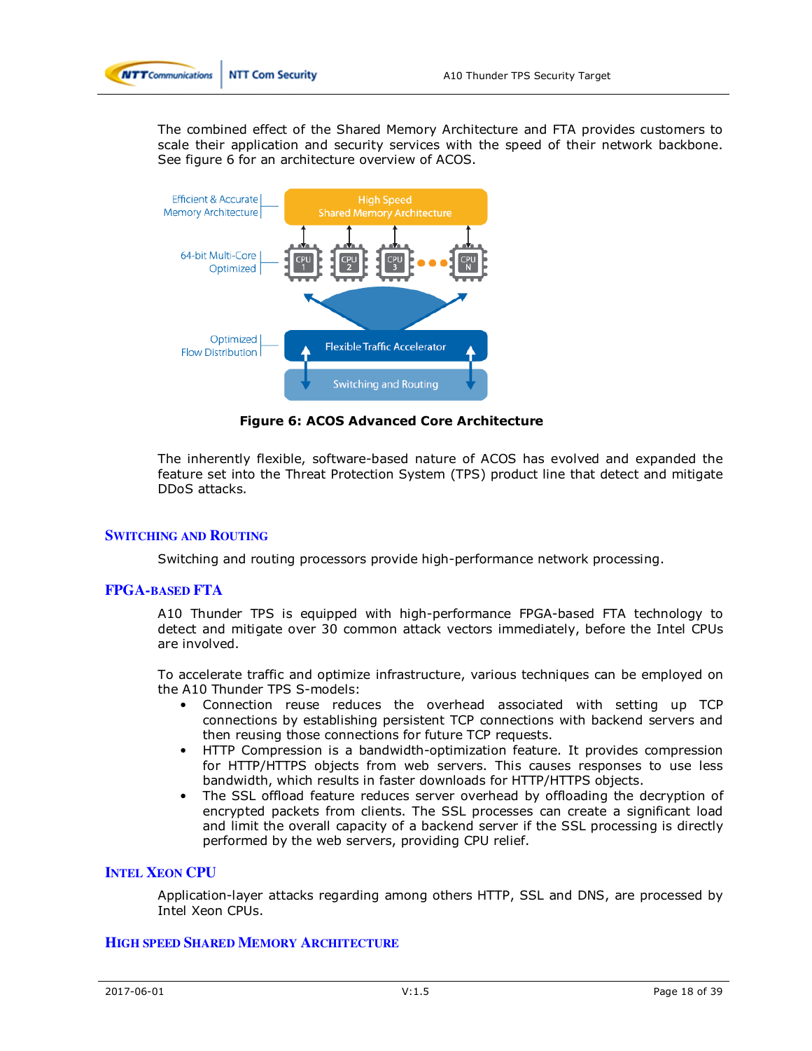

The combined effect of the Shared Memory Architecture and FTA provides customers to scale their application and security services with the speed of their network backbone. See figure 6 for an architecture overview of ACOS.



**Figure 6: ACOS Advanced Core Architecture** 

The inherently flexible, software-based nature of ACOS has evolved and expanded the feature set into the Threat Protection System (TPS) product line that detect and mitigate DDoS attacks.

#### **SWITCHING AND ROUTING**

Switching and routing processors provide high-performance network processing.

#### **FPGA-BASED FTA**

A10 Thunder TPS is equipped with high-performance FPGA-based FTA technology to detect and mitigate over 30 common attack vectors immediately, before the Intel CPUs are involved.

To accelerate traffic and optimize infrastructure, various techniques can be employed on the A10 Thunder TPS S-models:

- Connection reuse reduces the overhead associated with setting up TCP connections by establishing persistent TCP connections with backend servers and then reusing those connections for future TCP requests.
- HTTP Compression is a bandwidth-optimization feature. It provides compression for HTTP/HTTPS objects from web servers. This causes responses to use less bandwidth, which results in faster downloads for HTTP/HTTPS objects.
- The SSL offload feature reduces server overhead by offloading the decryption of encrypted packets from clients. The SSL processes can create a significant load and limit the overall capacity of a backend server if the SSL processing is directly performed by the web servers, providing CPU relief.

#### **INTEL XEON CPU**

Application-layer attacks regarding among others HTTP, SSL and DNS, are processed by Intel Xeon CPUs.

#### **HIGH SPEED SHARED MEMORY ARCHITECTURE**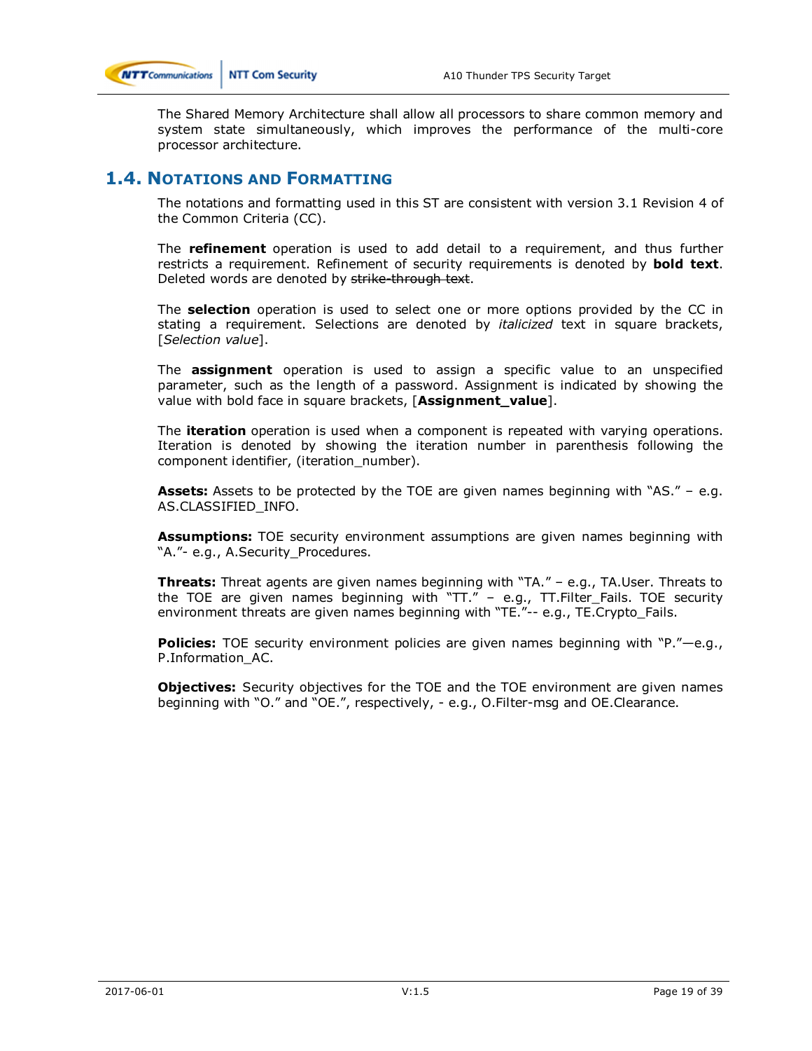

The Shared Memory Architecture shall allow all processors to share common memory and system state simultaneously, which improves the performance of the multi-core processor architecture.

### **1.4. NOTATIONS AND FORMATTING**

The notations and formatting used in this ST are consistent with version 3.1 Revision 4 of the Common Criteria (CC).

The **refinement** operation is used to add detail to a requirement, and thus further restricts a requirement. Refinement of security requirements is denoted by **bold text**. Deleted words are denoted by strike-through text.

The **selection** operation is used to select one or more options provided by the CC in stating a requirement. Selections are denoted by *italicized* text in square brackets, [*Selection value*].

The **assignment** operation is used to assign a specific value to an unspecified parameter, such as the length of a password. Assignment is indicated by showing the value with bold face in square brackets, [**Assignment\_value**].

The **iteration** operation is used when a component is repeated with varying operations. Iteration is denoted by showing the iteration number in parenthesis following the component identifier, (iteration\_number).

**Assets:** Assets to be protected by the TOE are given names beginning with "AS." – e.g. AS.CLASSIFIED\_INFO.

**Assumptions:** TOE security environment assumptions are given names beginning with "A."- e.g., A.Security Procedures.

**Threats:** Threat agents are given names beginning with "TA." – e.g., TA.User. Threats to the TOE are given names beginning with "TT." – e.g., TT.Filter\_Fails. TOE security environment threats are given names beginning with "TE."-- e.g., TE.Crypto\_Fails.

**Policies:** TOE security environment policies are given names beginning with "P."—e.g., P.Information\_AC.

**Objectives:** Security objectives for the TOE and the TOE environment are given names beginning with "O." and "OE.", respectively, - e.g., O.Filter-msg and OE.Clearance.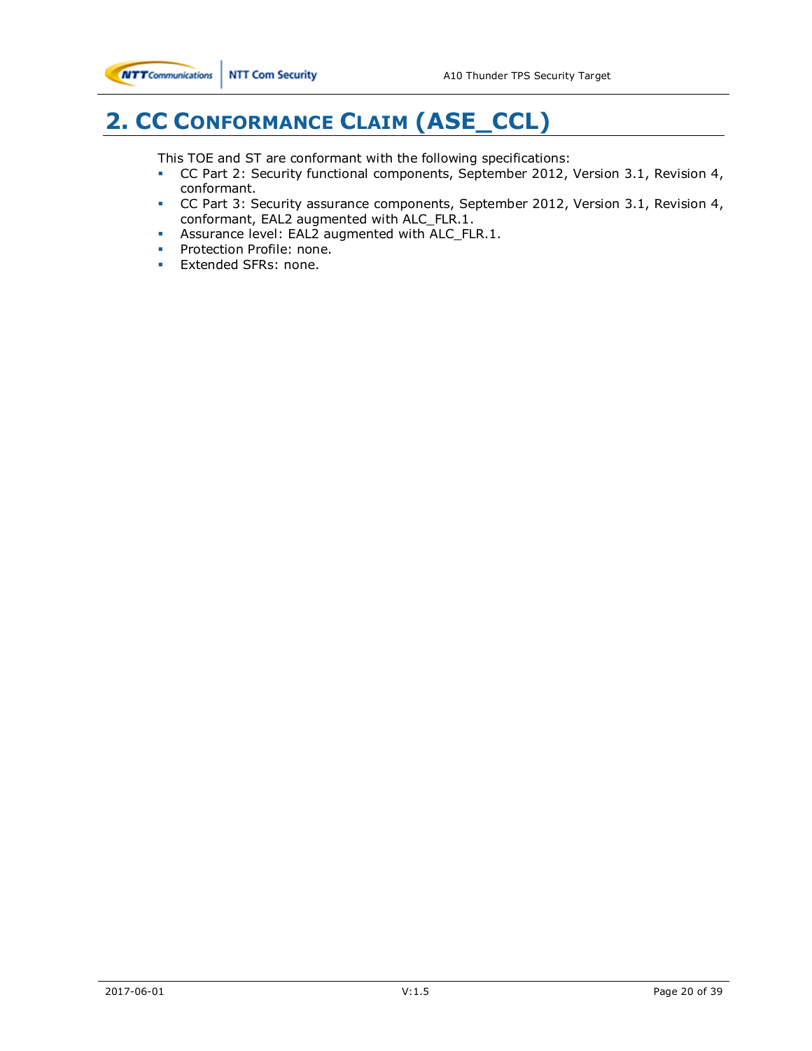# **2. CC CONFORMANCE CLAIM (ASE\_CCL)**

This TOE and ST are conformant with the following specifications:

- CC Part 2: Security functional components, September 2012, Version 3.1, Revision 4, conformant.
- CC Part 3: Security assurance components, September 2012, Version 3.1, Revision 4, conformant, EAL2 augmented with ALC\_FLR.1.
- Assurance level: EAL2 augmented with ALC\_FLR.1.
- Protection Profile: none.
- Extended SFRs: none.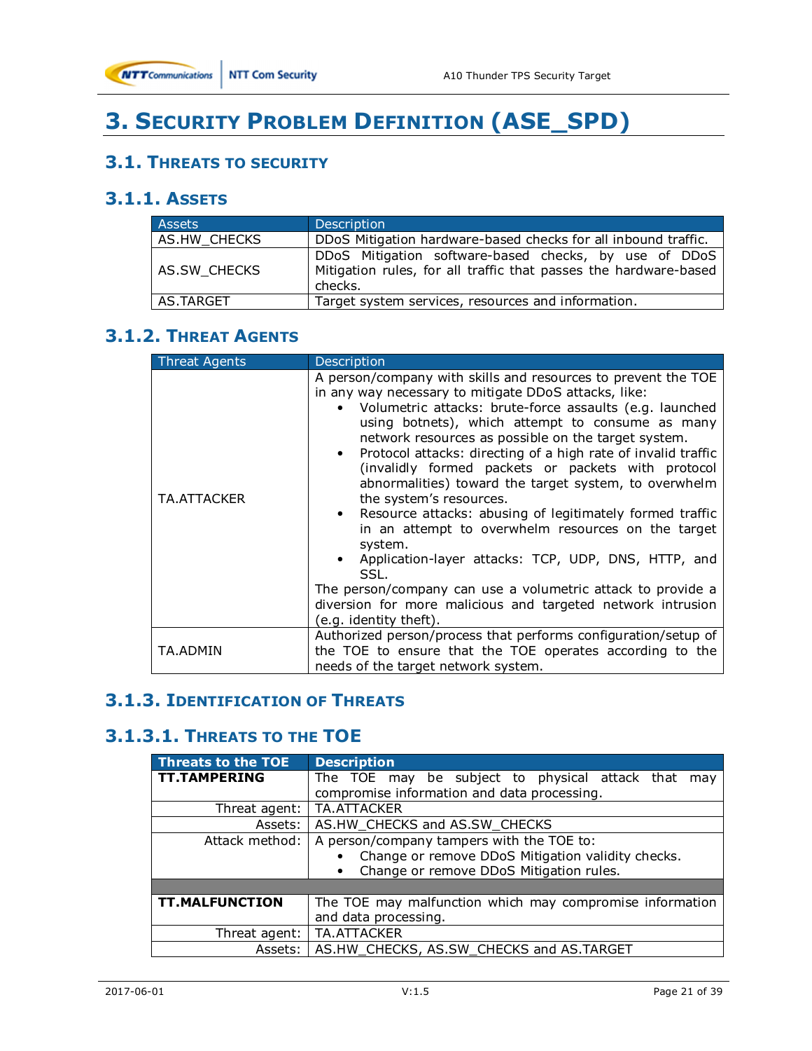

# **3. SECURITY PROBLEM DEFINITION (ASE\_SPD)**

# **3.1. THREATS TO SECURITY**

# **3.1.1. ASSETS**

| <b>Assets</b> | Description                                                                                                                          |
|---------------|--------------------------------------------------------------------------------------------------------------------------------------|
| AS.HW CHECKS  | DDoS Mitigation hardware-based checks for all inbound traffic.                                                                       |
| AS.SW CHECKS  | DDoS Mitigation software-based checks, by use of DDoS<br>Mitigation rules, for all traffic that passes the hardware-based<br>checks. |
| AS.TARGET     | Target system services, resources and information.                                                                                   |

# **3.1.2. THREAT AGENTS**

| <b>Threat Agents</b> | <b>Description</b>                                                                                                                                                                                                                                                                                                                                                                                                                                                                                                                                                                                                                                                                                                                                                                                                                                             |
|----------------------|----------------------------------------------------------------------------------------------------------------------------------------------------------------------------------------------------------------------------------------------------------------------------------------------------------------------------------------------------------------------------------------------------------------------------------------------------------------------------------------------------------------------------------------------------------------------------------------------------------------------------------------------------------------------------------------------------------------------------------------------------------------------------------------------------------------------------------------------------------------|
| TA.ATTACKER          | A person/company with skills and resources to prevent the TOE<br>in any way necessary to mitigate DDoS attacks, like:<br>• Volumetric attacks: brute-force assaults (e.g. launched<br>using botnets), which attempt to consume as many<br>network resources as possible on the target system.<br>Protocol attacks: directing of a high rate of invalid traffic<br>(invalidly formed packets or packets with protocol<br>abnormalities) toward the target system, to overwhelm<br>the system's resources.<br>Resource attacks: abusing of legitimately formed traffic<br>in an attempt to overwhelm resources on the target<br>system.<br>• Application-layer attacks: TCP, UDP, DNS, HTTP, and<br>SSL.<br>The person/company can use a volumetric attack to provide a<br>diversion for more malicious and targeted network intrusion<br>(e.g. identity theft). |
| TA.ADMIN             | Authorized person/process that performs configuration/setup of<br>the TOE to ensure that the TOE operates according to the<br>needs of the target network system.                                                                                                                                                                                                                                                                                                                                                                                                                                                                                                                                                                                                                                                                                              |

# **3.1.3. IDENTIFICATION OF THREATS**

# **3.1.3.1. THREATS TO THE TOE**

| <b>Threats to the TOE</b> | <b>Description</b>                                       |  |  |  |  |  |  |  |
|---------------------------|----------------------------------------------------------|--|--|--|--|--|--|--|
| <b>TT.TAMPERING</b>       | The TOE may be subject to physical attack that<br>may    |  |  |  |  |  |  |  |
|                           | compromise information and data processing.              |  |  |  |  |  |  |  |
| Threat agent:             | TA.ATTACKER                                              |  |  |  |  |  |  |  |
| Assets:                   | AS.HW_CHECKS and AS.SW_CHECKS                            |  |  |  |  |  |  |  |
| Attack method:            | A person/company tampers with the TOE to:                |  |  |  |  |  |  |  |
|                           | Change or remove DDoS Mitigation validity checks.        |  |  |  |  |  |  |  |
|                           | Change or remove DDoS Mitigation rules.                  |  |  |  |  |  |  |  |
|                           |                                                          |  |  |  |  |  |  |  |
| <b>TT.MALFUNCTION</b>     | The TOE may malfunction which may compromise information |  |  |  |  |  |  |  |
|                           | and data processing.                                     |  |  |  |  |  |  |  |
| Threat agent:             | TA.ATTACKER                                              |  |  |  |  |  |  |  |
| Assets:                   | AS.HW CHECKS, AS.SW CHECKS and AS.TARGET                 |  |  |  |  |  |  |  |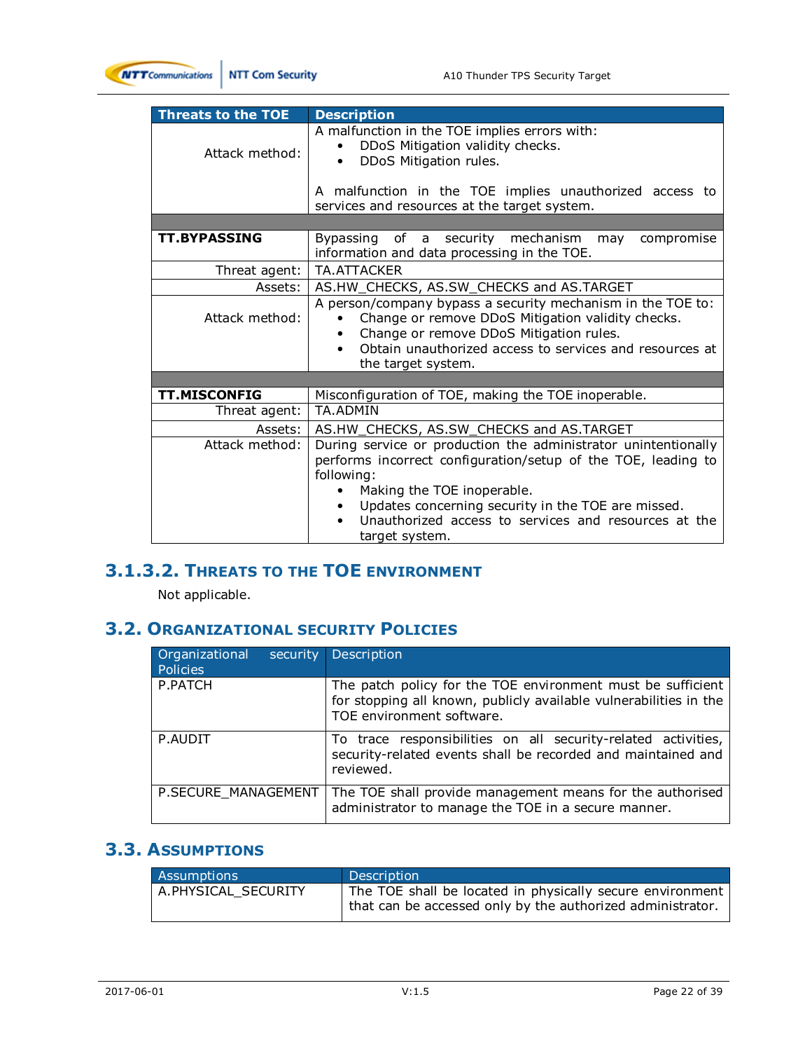

| <b>Threats to the TOE</b> | <b>Description</b>                                                                                                                                                                                                                           |  |  |  |  |  |  |  |  |
|---------------------------|----------------------------------------------------------------------------------------------------------------------------------------------------------------------------------------------------------------------------------------------|--|--|--|--|--|--|--|--|
| Attack method:            | A malfunction in the TOE implies errors with:<br>DDoS Mitigation validity checks.<br>DDoS Mitigation rules.                                                                                                                                  |  |  |  |  |  |  |  |  |
|                           | A malfunction in the TOE implies unauthorized access to<br>services and resources at the target system.                                                                                                                                      |  |  |  |  |  |  |  |  |
|                           |                                                                                                                                                                                                                                              |  |  |  |  |  |  |  |  |
| <b>TT.BYPASSING</b>       | Bypassing of a security mechanism may<br>compromise<br>information and data processing in the TOE.                                                                                                                                           |  |  |  |  |  |  |  |  |
| Threat agent:             | TA.ATTACKER                                                                                                                                                                                                                                  |  |  |  |  |  |  |  |  |
| Assets:                   | AS.HW_CHECKS, AS.SW_CHECKS and AS.TARGET                                                                                                                                                                                                     |  |  |  |  |  |  |  |  |
| Attack method:            | A person/company bypass a security mechanism in the TOE to:<br>Change or remove DDoS Mitigation validity checks.<br>Change or remove DDoS Mitigation rules.<br>Obtain unauthorized access to services and resources at<br>the target system. |  |  |  |  |  |  |  |  |
|                           |                                                                                                                                                                                                                                              |  |  |  |  |  |  |  |  |
| TT.MISCONFIG              | Misconfiguration of TOE, making the TOE inoperable.                                                                                                                                                                                          |  |  |  |  |  |  |  |  |
| Threat agent:             | <b>TA.ADMIN</b>                                                                                                                                                                                                                              |  |  |  |  |  |  |  |  |
| Assets: I                 | AS.HW_CHECKS, AS.SW_CHECKS and AS.TARGET                                                                                                                                                                                                     |  |  |  |  |  |  |  |  |
| Attack method:            | During service or production the administrator unintentionally<br>performs incorrect configuration/setup of the TOE, leading to<br>following:<br>Making the TOE inoperable.<br>Updates concerning security in the TOE are missed.            |  |  |  |  |  |  |  |  |
|                           | Unauthorized access to services and resources at the<br>target system.                                                                                                                                                                       |  |  |  |  |  |  |  |  |

# **3.1.3.2. THREATS TO THE TOE ENVIRONMENT**

Not applicable.

# **3.2. ORGANIZATIONAL SECURITY POLICIES**

| Organizational<br>security<br>Policies | Description                                                                                                                                                   |
|----------------------------------------|---------------------------------------------------------------------------------------------------------------------------------------------------------------|
| P.PATCH                                | The patch policy for the TOE environment must be sufficient<br>for stopping all known, publicly available vulnerabilities in the<br>TOE environment software. |
| P.AUDIT                                | To trace responsibilities on all security-related activities,<br>security-related events shall be recorded and maintained and<br>reviewed.                    |
| P.SECURE MANAGEMENT                    | The TOE shall provide management means for the authorised<br>administrator to manage the TOE in a secure manner.                                              |

# **3.3. ASSUMPTIONS**

| <b>Assumptions</b>    | Description                                                                                                             |
|-----------------------|-------------------------------------------------------------------------------------------------------------------------|
| l A.PHYSICAL SECURITY | The TOE shall be located in physically secure environment<br>that can be accessed only by the authorized administrator. |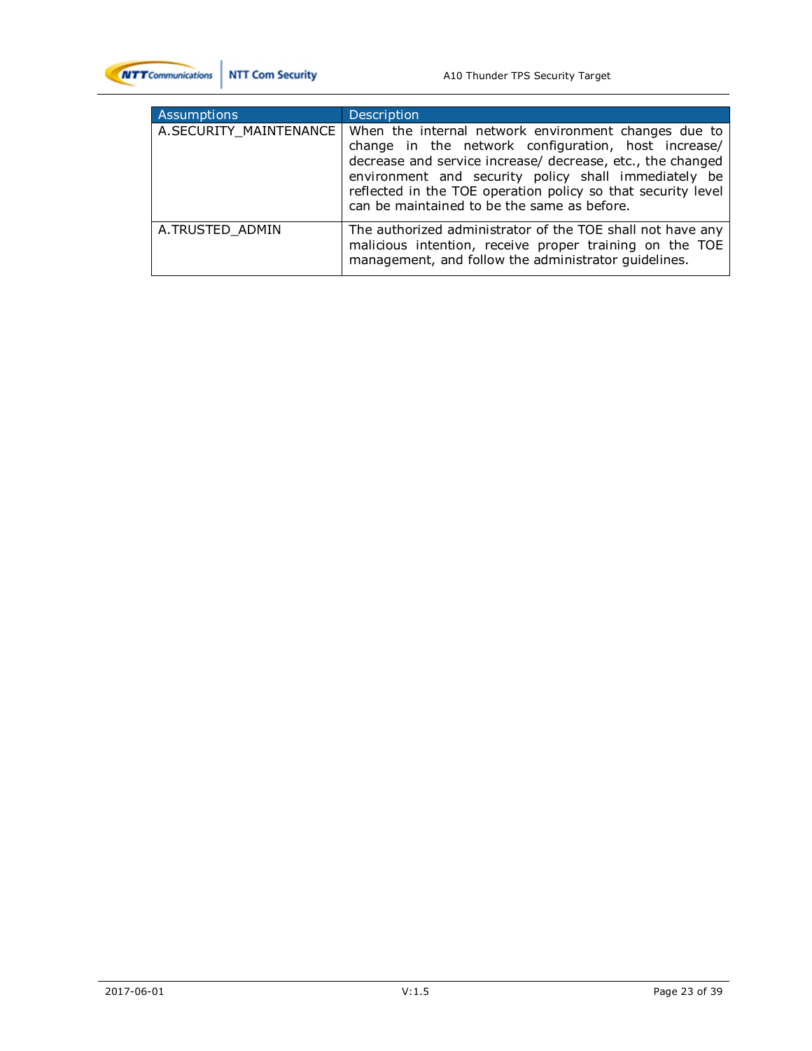

| Assumptions            | Description                                                                                                                                                                                                                                                                                                                                      |
|------------------------|--------------------------------------------------------------------------------------------------------------------------------------------------------------------------------------------------------------------------------------------------------------------------------------------------------------------------------------------------|
| A.SECURITY_MAINTENANCE | When the internal network environment changes due to<br>change in the network configuration, host increase/<br>decrease and service increase/ decrease, etc., the changed<br>environment and security policy shall immediately be<br>reflected in the TOE operation policy so that security level<br>can be maintained to be the same as before. |
| A.TRUSTED ADMIN        | The authorized administrator of the TOE shall not have any<br>malicious intention, receive proper training on the TOE<br>management, and follow the administrator guidelines.                                                                                                                                                                    |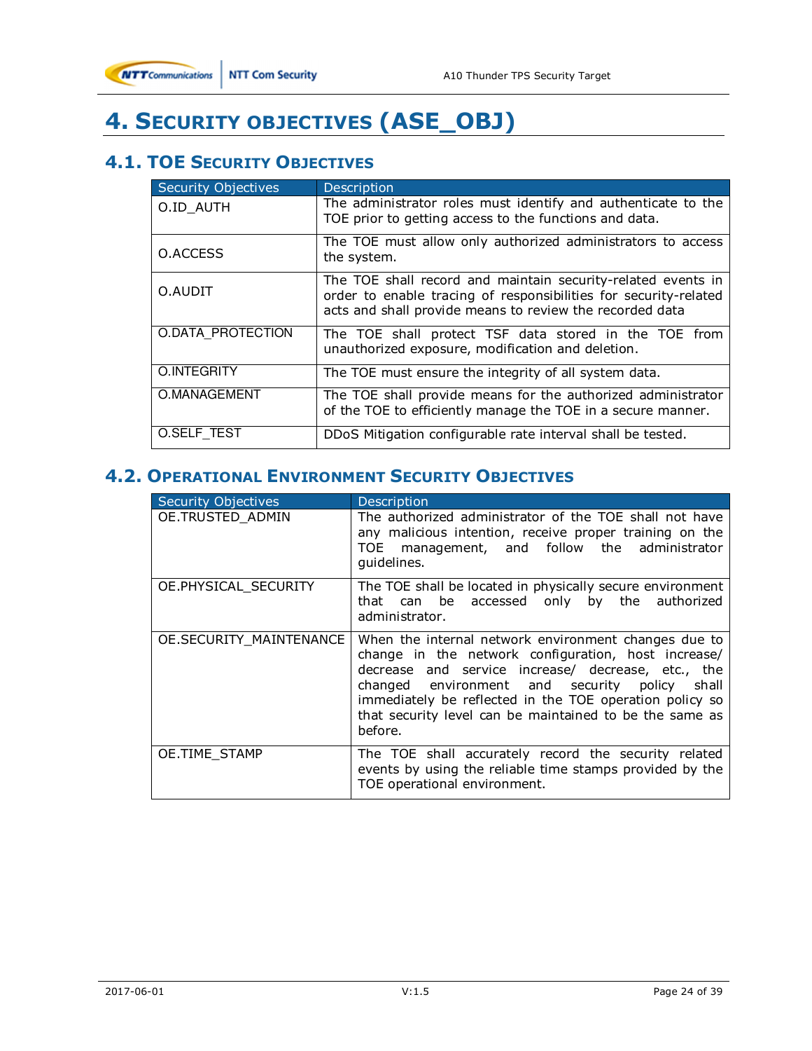

# **4. SECURITY OBJECTIVES (ASE\_OBJ)**

# **4.1. TOE SECURITY OBJECTIVES**

| <b>Security Objectives</b> | Description                                                                                                                                                                                  |
|----------------------------|----------------------------------------------------------------------------------------------------------------------------------------------------------------------------------------------|
| O.ID_AUTH                  | The administrator roles must identify and authenticate to the<br>TOE prior to getting access to the functions and data.                                                                      |
| O.ACCESS                   | The TOE must allow only authorized administrators to access<br>the system.                                                                                                                   |
| O.AUDIT                    | The TOE shall record and maintain security-related events in<br>order to enable tracing of responsibilities for security-related<br>acts and shall provide means to review the recorded data |
| O.DATA PROTECTION          | The TOE shall protect TSF data stored in the TOE from<br>unauthorized exposure, modification and deletion.                                                                                   |
| O.INTEGRITY                | The TOE must ensure the integrity of all system data.                                                                                                                                        |
| O.MANAGEMENT               | The TOE shall provide means for the authorized administrator<br>of the TOE to efficiently manage the TOE in a secure manner.                                                                 |
| O.SELF TEST                | DDoS Mitigation configurable rate interval shall be tested.                                                                                                                                  |

# **4.2. OPERATIONAL ENVIRONMENT SECURITY OBJECTIVES**

| <b>Security Objectives</b>     | Description                                                                                                                                                                                                                                                                                                                                            |
|--------------------------------|--------------------------------------------------------------------------------------------------------------------------------------------------------------------------------------------------------------------------------------------------------------------------------------------------------------------------------------------------------|
| OE.TRUSTED ADMIN               | The authorized administrator of the TOE shall not have<br>any malicious intention, receive proper training on the<br>TOE management, and follow the administrator<br>quidelines.                                                                                                                                                                       |
| OE.PHYSICAL SECURITY           | The TOE shall be located in physically secure environment<br>can be accessed only by the authorized<br>that<br>administrator.                                                                                                                                                                                                                          |
| <b>OE.SECURITY MAINTENANCE</b> | When the internal network environment changes due to<br>change in the network configuration, host increase/<br>decrease and service increase/ decrease, etc., the<br>changed environment and security policy<br>shall<br>immediately be reflected in the TOE operation policy so<br>that security level can be maintained to be the same as<br>before. |
| OE.TIME_STAMP                  | The TOE shall accurately record the security related<br>events by using the reliable time stamps provided by the<br>TOE operational environment.                                                                                                                                                                                                       |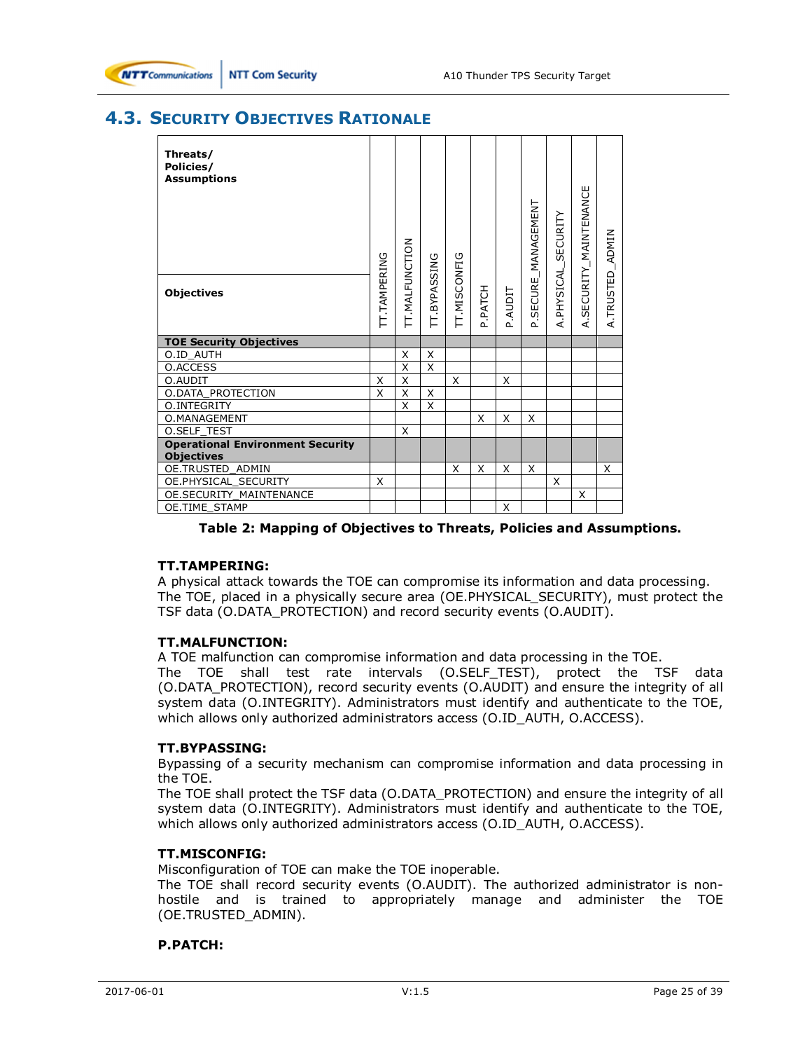# **4.3. SECURITY OBJECTIVES RATIONALE**

| Threats/<br>Policies/<br><b>Assumptions</b><br><b>Objectives</b> | IT. TAMPERING | <b>TT.MALFUNCTION</b> | TT.BYPASSING | TT.MISCONFIG | P.PATCH | P.AUDIT | SECURE_MANAGEMENT | SECURITY<br>PHYSICAL | SECURITY_MAINTENANCE | <b>ADMIN</b><br>A.TRUSTED |
|------------------------------------------------------------------|---------------|-----------------------|--------------|--------------|---------|---------|-------------------|----------------------|----------------------|---------------------------|
|                                                                  |               |                       |              |              |         |         | ്                 | ₹                    | ∢                    |                           |
| <b>TOE Security Objectives</b>                                   |               |                       |              |              |         |         |                   |                      |                      |                           |
| O.ID AUTH                                                        |               | X                     | X            |              |         |         |                   |                      |                      |                           |
| O.ACCESS                                                         |               | $\times$              | X            |              |         |         |                   |                      |                      |                           |
| O.AUDIT                                                          | X             | X                     |              | X            |         | X       |                   |                      |                      |                           |
| <b>O.DATA PROTECTION</b>                                         | X             | $\times$              | X            |              |         |         |                   |                      |                      |                           |
| O.INTEGRITY                                                      |               | X                     | X            |              |         |         |                   |                      |                      |                           |
| O.MANAGEMENT                                                     |               |                       |              |              | X       | X       | X                 |                      |                      |                           |
| <b>O.SELF TEST</b>                                               |               | X                     |              |              |         |         |                   |                      |                      |                           |
| <b>Operational Environment Security</b><br><b>Objectives</b>     |               |                       |              |              |         |         |                   |                      |                      |                           |
| OE.TRUSTED ADMIN                                                 |               |                       |              | X            | X       | X       | X                 |                      |                      | X                         |
| OE.PHYSICAL_SECURITY                                             | X             |                       |              |              |         |         |                   | X                    |                      |                           |
| OE.SECURITY MAINTENANCE                                          |               |                       |              |              |         |         |                   |                      | X                    |                           |
| OE.TIME STAMP                                                    |               |                       |              |              |         | X       |                   |                      |                      |                           |

#### **Table 2: Mapping of Objectives to Threats, Policies and Assumptions.**

#### **TT.TAMPERING:**

A physical attack towards the TOE can compromise its information and data processing. The TOE, placed in a physically secure area (OE.PHYSICAL\_SECURITY), must protect the TSF data (O.DATA\_PROTECTION) and record security events (O.AUDIT).

#### **TT.MALFUNCTION:**

A TOE malfunction can compromise information and data processing in the TOE. The TOE shall test rate intervals (O.SELF\_TEST), protect the TSF data (O.DATA\_PROTECTION), record security events (O.AUDIT) and ensure the integrity of all system data (O.INTEGRITY). Administrators must identify and authenticate to the TOE, which allows only authorized administrators access (O.ID AUTH, O.ACCESS).

#### **TT.BYPASSING:**

Bypassing of a security mechanism can compromise information and data processing in the TOE.

The TOE shall protect the TSF data (O.DATA\_PROTECTION) and ensure the integrity of all system data (O.INTEGRITY). Administrators must identify and authenticate to the TOE, which allows only authorized administrators access (O.ID\_AUTH, O.ACCESS).

#### **TT.MISCONFIG:**

Misconfiguration of TOE can make the TOE inoperable.

The TOE shall record security events (O.AUDIT). The authorized administrator is nonhostile and is trained to appropriately manage and administer the TOE (OE.TRUSTED\_ADMIN).

#### **P.PATCH:**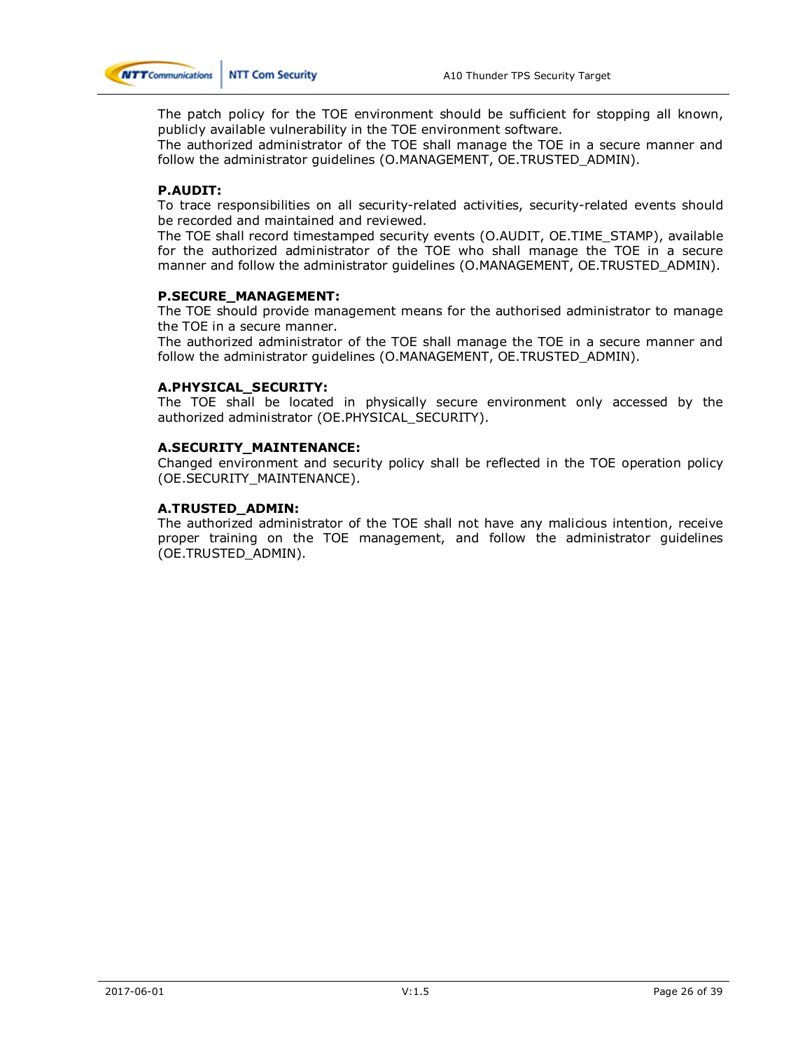

The patch policy for the TOE environment should be sufficient for stopping all known, publicly available vulnerability in the TOE environment software.

The authorized administrator of the TOE shall manage the TOE in a secure manner and follow the administrator guidelines (O.MANAGEMENT, OE.TRUSTED\_ADMIN).

#### **P.AUDIT:**

To trace responsibilities on all security-related activities, security-related events should be recorded and maintained and reviewed.

The TOE shall record timestamped security events (O.AUDIT, OE.TIME\_STAMP), available for the authorized administrator of the TOE who shall manage the TOE in a secure manner and follow the administrator guidelines (O.MANAGEMENT, OE.TRUSTED\_ADMIN).

#### **P.SECURE\_MANAGEMENT:**

The TOE should provide management means for the authorised administrator to manage the TOE in a secure manner.

The authorized administrator of the TOE shall manage the TOE in a secure manner and follow the administrator guidelines (O.MANAGEMENT, OE.TRUSTED\_ADMIN).

#### **A.PHYSICAL\_SECURITY:**

The TOE shall be located in physically secure environment only accessed by the authorized administrator (OE.PHYSICAL\_SECURITY).

#### **A.SECURITY\_MAINTENANCE:**

Changed environment and security policy shall be reflected in the TOE operation policy (OE.SECURITY\_MAINTENANCE).

#### **A.TRUSTED\_ADMIN:**

The authorized administrator of the TOE shall not have any malicious intention, receive proper training on the TOE management, and follow the administrator guidelines (OE.TRUSTED\_ADMIN).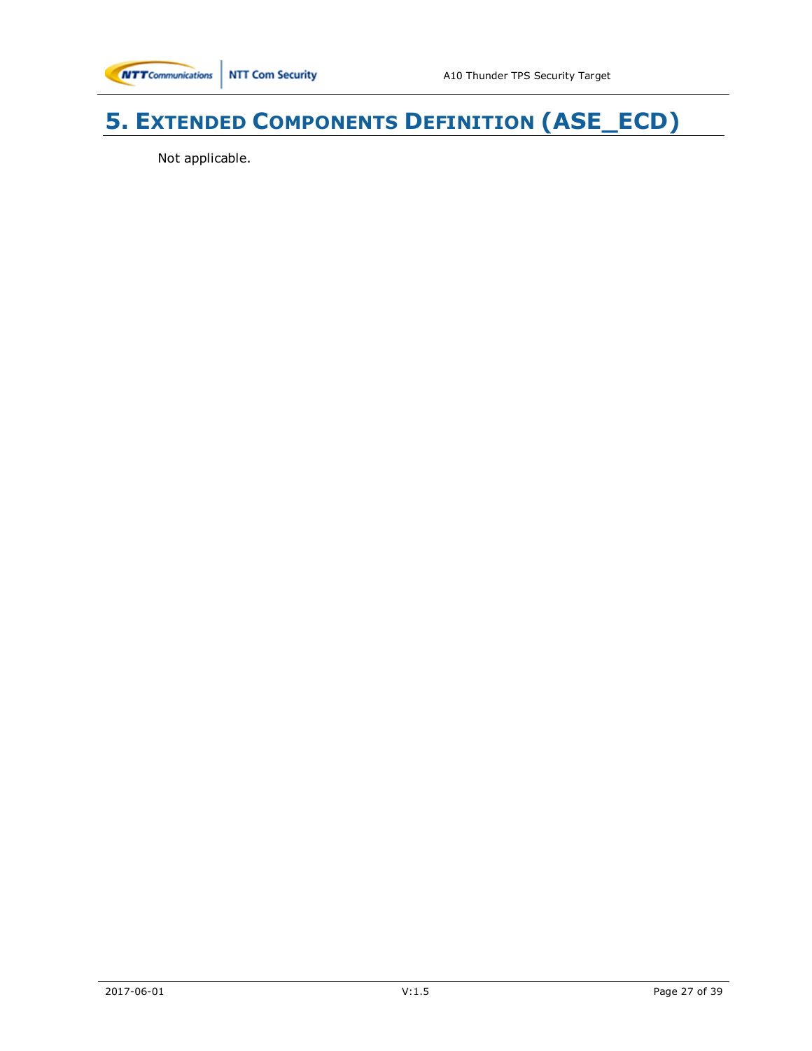# **5. EXTENDED COMPONENTS DEFINITION (ASE\_ECD)**

Not applicable.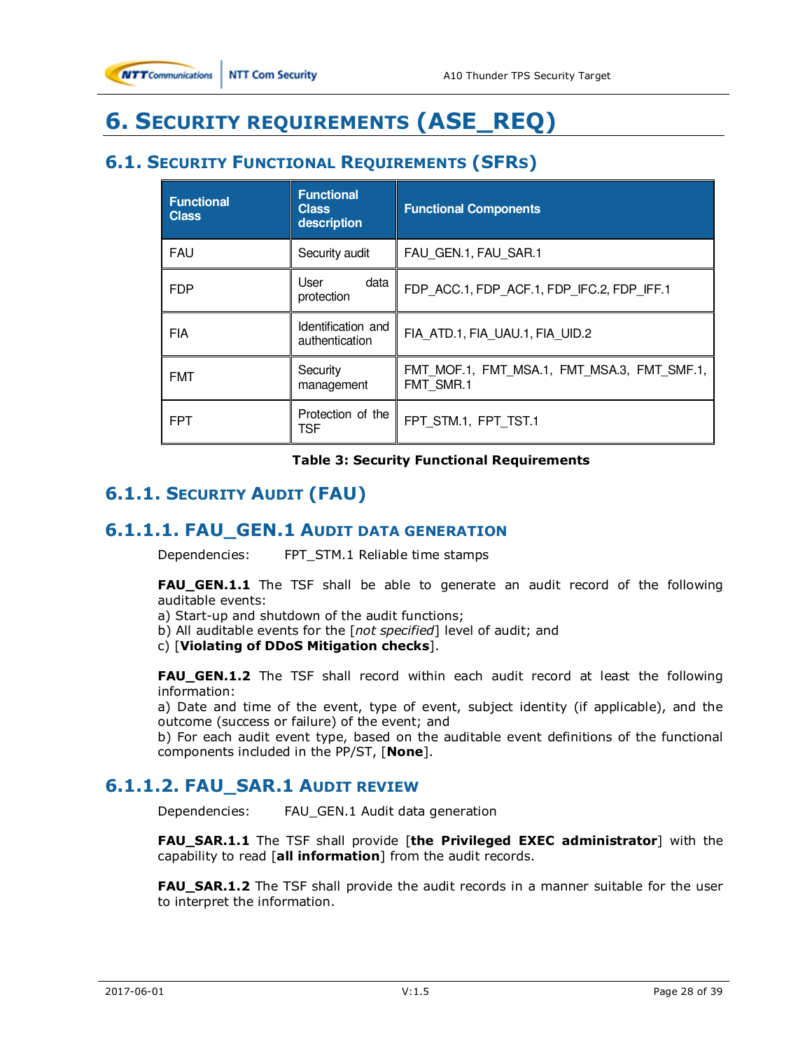

# **6. SECURITY REQUIREMENTS (ASE\_REQ)**

# **6.1. SECURITY FUNCTIONAL REQUIREMENTS (SFRS)**

| <b>Functional</b><br><b>Class</b> | <b>Functional</b><br><b>Class</b><br>description | <b>Functional Components</b>                             |
|-----------------------------------|--------------------------------------------------|----------------------------------------------------------|
| <b>FAU</b>                        | Security audit                                   | FAU GEN.1, FAU SAR.1                                     |
| <b>FDP</b>                        | data<br>User<br>protection                       | FDP ACC.1, FDP ACF.1, FDP IFC.2, FDP IFF.1               |
| <b>FIA</b>                        | Identification and<br>authentication             | FIA ATD.1, FIA UAU.1, FIA UID.2                          |
| <b>FMT</b>                        | Security<br>management                           | FMT MOF.1, FMT MSA.1, FMT MSA.3, FMT SMF.1,<br>FMT SMR.1 |
| <b>FPT</b>                        | Protection of the<br>TSF                         | FPT STM.1, FPT TST.1                                     |

#### **Table 3: Security Functional Requirements**

# **6.1.1. SECURITY AUDIT (FAU)**

### **6.1.1.1. FAU\_GEN.1 AUDIT DATA GENERATION**

Dependencies: FPT\_STM.1 Reliable time stamps

**FAU\_GEN.1.1** The TSF shall be able to generate an audit record of the following auditable events:

a) Start-up and shutdown of the audit functions;

b) All auditable events for the [*not specified*] level of audit; and

c) [**Violating of DDoS Mitigation checks**].

**FAU\_GEN.1.2** The TSF shall record within each audit record at least the following information:

a) Date and time of the event, type of event, subject identity (if applicable), and the outcome (success or failure) of the event; and

b) For each audit event type, based on the auditable event definitions of the functional components included in the PP/ST, [**None**].

## **6.1.1.2. FAU\_SAR.1 AUDIT REVIEW**

Dependencies: FAU\_GEN.1 Audit data generation

**FAU\_SAR.1.1** The TSF shall provide [**the Privileged EXEC administrator**] with the capability to read [**all information**] from the audit records.

**FAU SAR.1.2** The TSF shall provide the audit records in a manner suitable for the user to interpret the information.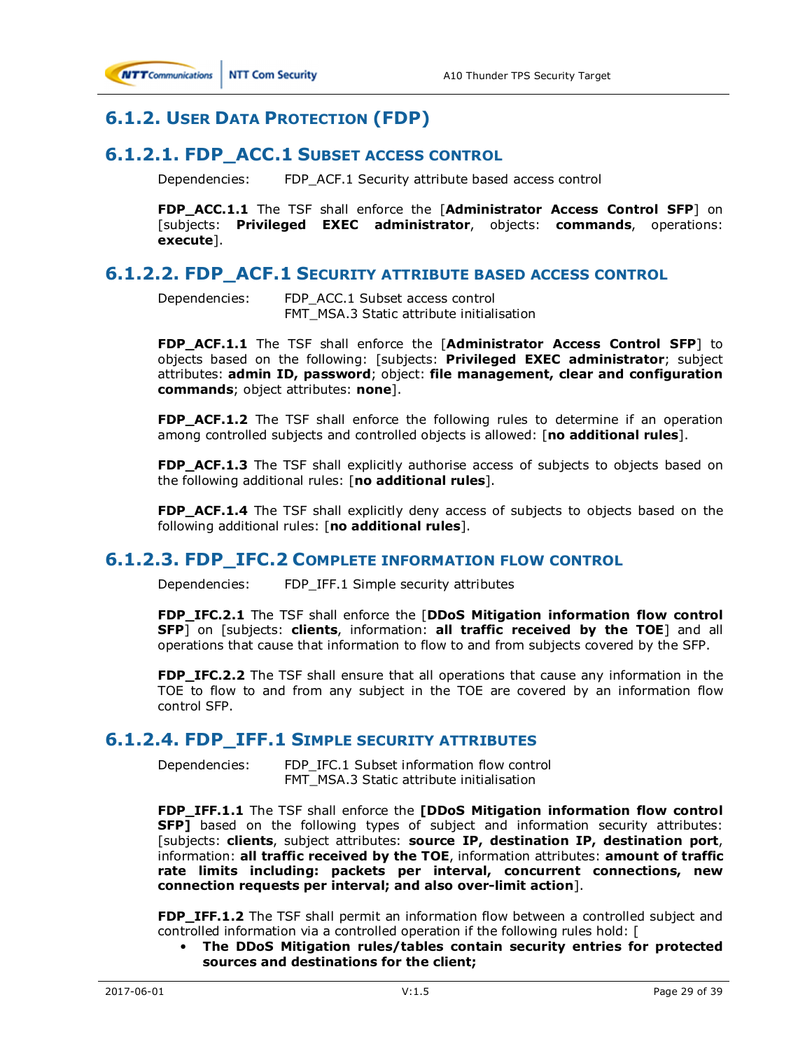

# **6.1.2. USER DATA PROTECTION (FDP)**

### **6.1.2.1. FDP\_ACC.1 SUBSET ACCESS CONTROL**

Dependencies: FDP\_ACF.1 Security attribute based access control

**FDP\_ACC.1.1** The TSF shall enforce the [**Administrator Access Control SFP**] on [subjects: **Privileged EXEC administrator**, objects: **commands**, operations: **execute**].

### **6.1.2.2. FDP\_ACF.1 SECURITY ATTRIBUTE BASED ACCESS CONTROL**

Dependencies: FDP\_ACC.1 Subset access control FMT\_MSA.3 Static attribute initialisation

**FDP\_ACF.1.1** The TSF shall enforce the [**Administrator Access Control SFP**] to objects based on the following: [subjects: **Privileged EXEC administrator**; subject attributes: **admin ID, password**; object: **file management, clear and configuration commands**; object attributes: **none**].

**FDP\_ACF.1.2** The TSF shall enforce the following rules to determine if an operation among controlled subjects and controlled objects is allowed: [**no additional rules**].

**FDP\_ACF.1.3** The TSF shall explicitly authorise access of subjects to objects based on the following additional rules: [**no additional rules**].

**FDP\_ACF.1.4** The TSF shall explicitly deny access of subjects to objects based on the following additional rules: [**no additional rules**].

### **6.1.2.3. FDP\_IFC.2 COMPLETE INFORMATION FLOW CONTROL**

Dependencies: FDP\_IFF.1 Simple security attributes

**FDP\_IFC.2.1** The TSF shall enforce the [**DDoS Mitigation information flow control SFP**] on [subjects: **clients**, information: **all traffic received by the TOE**] and all operations that cause that information to flow to and from subjects covered by the SFP.

**FDP\_IFC.2.2** The TSF shall ensure that all operations that cause any information in the TOE to flow to and from any subject in the TOE are covered by an information flow control SFP.

### **6.1.2.4. FDP\_IFF.1 SIMPLE SECURITY ATTRIBUTES**

Dependencies: FDP\_IFC.1 Subset information flow control FMT\_MSA.3 Static attribute initialisation

**FDP\_IFF.1.1** The TSF shall enforce the **[DDoS Mitigation information flow control SFP]** based on the following types of subject and information security attributes: [subjects: **clients**, subject attributes: **source IP, destination IP, destination port**, information: **all traffic received by the TOE**, information attributes: **amount of traffic rate limits including: packets per interval, concurrent connections, new connection requests per interval; and also over-limit action**].

**FDP\_IFF.1.2** The TSF shall permit an information flow between a controlled subject and controlled information via a controlled operation if the following rules hold: [

• **The DDoS Mitigation rules/tables contain security entries for protected sources and destinations for the client;**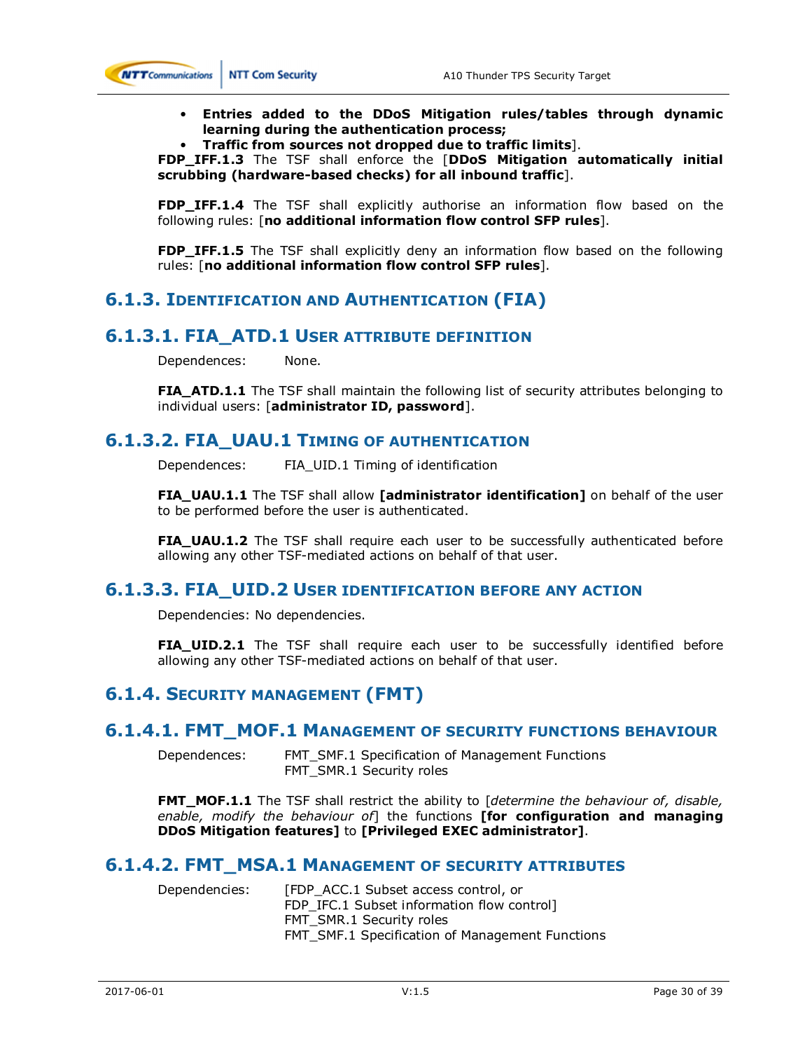

- **Entries added to the DDoS Mitigation rules/tables through dynamic learning during the authentication process;**
- **Traffic from sources not dropped due to traffic limits**].

**FDP\_IFF.1.3** The TSF shall enforce the [**DDoS Mitigation automatically initial scrubbing (hardware-based checks) for all inbound traffic**].

**FDP\_IFF.1.4** The TSF shall explicitly authorise an information flow based on the following rules: [**no additional information flow control SFP rules**].

**FDP\_IFF.1.5** The TSF shall explicitly deny an information flow based on the following rules: [**no additional information flow control SFP rules**].

## **6.1.3. IDENTIFICATION AND AUTHENTICATION (FIA)**

### **6.1.3.1. FIA\_ATD.1 USER ATTRIBUTE DEFINITION**

Dependences: None.

**FIA\_ATD.1.1** The TSF shall maintain the following list of security attributes belonging to individual users: [**administrator ID, password**].

### **6.1.3.2. FIA\_UAU.1 TIMING OF AUTHENTICATION**

Dependences: FIA\_UID.1 Timing of identification

**FIA\_UAU.1.1** The TSF shall allow **[administrator identification]** on behalf of the user to be performed before the user is authenticated.

**FIA\_UAU.1.2** The TSF shall require each user to be successfully authenticated before allowing any other TSF-mediated actions on behalf of that user.

### **6.1.3.3. FIA\_UID.2 USER IDENTIFICATION BEFORE ANY ACTION**

Dependencies: No dependencies.

**FIA\_UID.2.1** The TSF shall require each user to be successfully identified before allowing any other TSF-mediated actions on behalf of that user.

## **6.1.4. SECURITY MANAGEMENT (FMT)**

#### **6.1.4.1. FMT\_MOF.1 MANAGEMENT OF SECURITY FUNCTIONS BEHAVIOUR**

Dependences: FMT\_SMF.1 Specification of Management Functions FMT\_SMR.1 Security roles

**FMT\_MOF.1.1** The TSF shall restrict the ability to *[determine the behaviour of, disable, enable, modify the behaviour of*] the functions **[for configuration and managing DDoS Mitigation features]** to **[Privileged EXEC administrator]**.

### **6.1.4.2. FMT\_MSA.1 MANAGEMENT OF SECURITY ATTRIBUTES**

Dependencies: [FDP\_ACC.1 Subset access control, or FDP\_IFC.1 Subset information flow control] FMT\_SMR.1 Security roles FMT\_SMF.1 Specification of Management Functions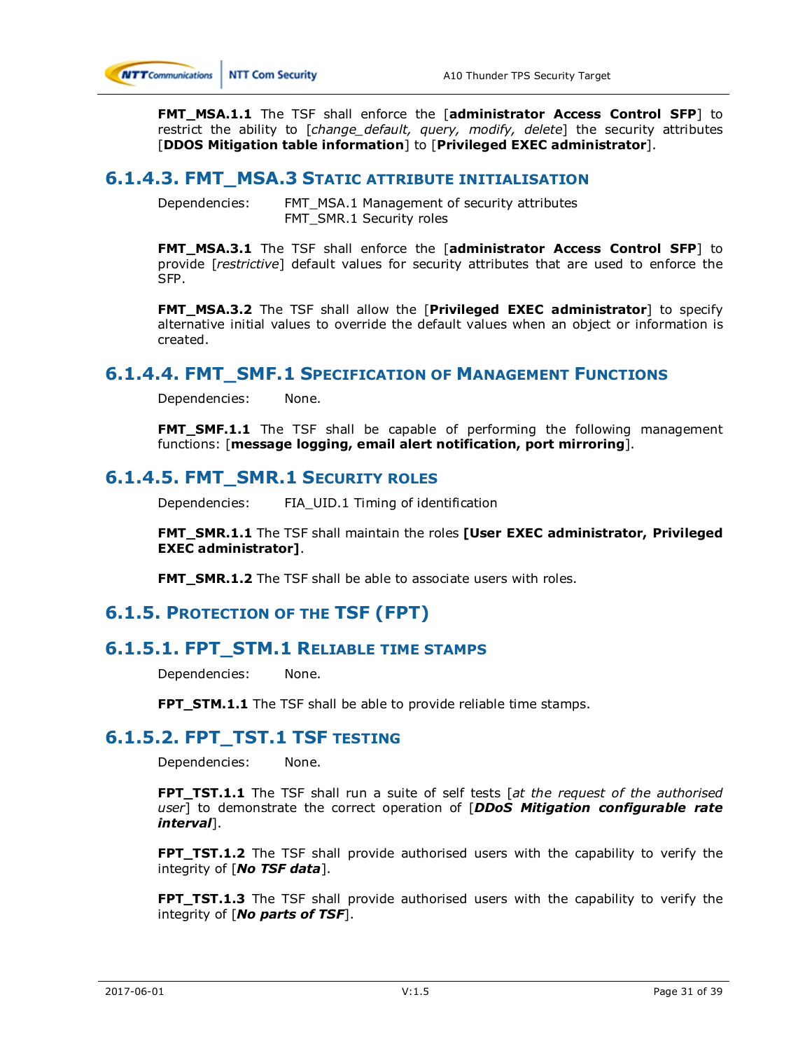

**FMT\_MSA.1.1** The TSF shall enforce the [**administrator Access Control SFP**] to restrict the ability to [*change\_default, query, modify, delete*] the security attributes [**DDOS Mitigation table information**] to [**Privileged EXEC administrator**].

### **6.1.4.3. FMT\_MSA.3 STATIC ATTRIBUTE INITIALISATION**

Dependencies: FMT\_MSA.1 Management of security attributes FMT\_SMR.1 Security roles

**FMT\_MSA.3.1** The TSF shall enforce the [**administrator Access Control SFP**] to provide [*restrictive*] default values for security attributes that are used to enforce the SFP.

**FMT\_MSA.3.2** The TSF shall allow the [**Privileged EXEC administrator**] to specify alternative initial values to override the default values when an object or information is created.

### **6.1.4.4. FMT\_SMF.1 SPECIFICATION OF MANAGEMENT FUNCTIONS**

Dependencies: None.

**FMT\_SMF.1.1** The TSF shall be capable of performing the following management functions: [**message logging, email alert notification, port mirroring**].

### **6.1.4.5. FMT\_SMR.1 SECURITY ROLES**

Dependencies: FIA\_UID.1 Timing of identification

**FMT\_SMR.1.1** The TSF shall maintain the roles **[User EXEC administrator, Privileged EXEC administrator]**.

**FMT\_SMR.1.2** The TSF shall be able to associate users with roles.

## **6.1.5. PROTECTION OF THE TSF (FPT)**

### **6.1.5.1. FPT\_STM.1 RELIABLE TIME STAMPS**

Dependencies: None.

**FPT\_STM.1.1** The TSF shall be able to provide reliable time stamps.

### **6.1.5.2. FPT\_TST.1 TSF TESTING**

Dependencies: None.

**FPT\_TST.1.1** The TSF shall run a suite of self tests [*at the request of the authorised user*] to demonstrate the correct operation of [*DDoS Mitigation configurable rate interval*].

**FPT\_TST.1.2** The TSF shall provide authorised users with the capability to verify the integrity of [*No TSF data*].

**FPT\_TST.1.3** The TSF shall provide authorised users with the capability to verify the integrity of [*No parts of TSF*].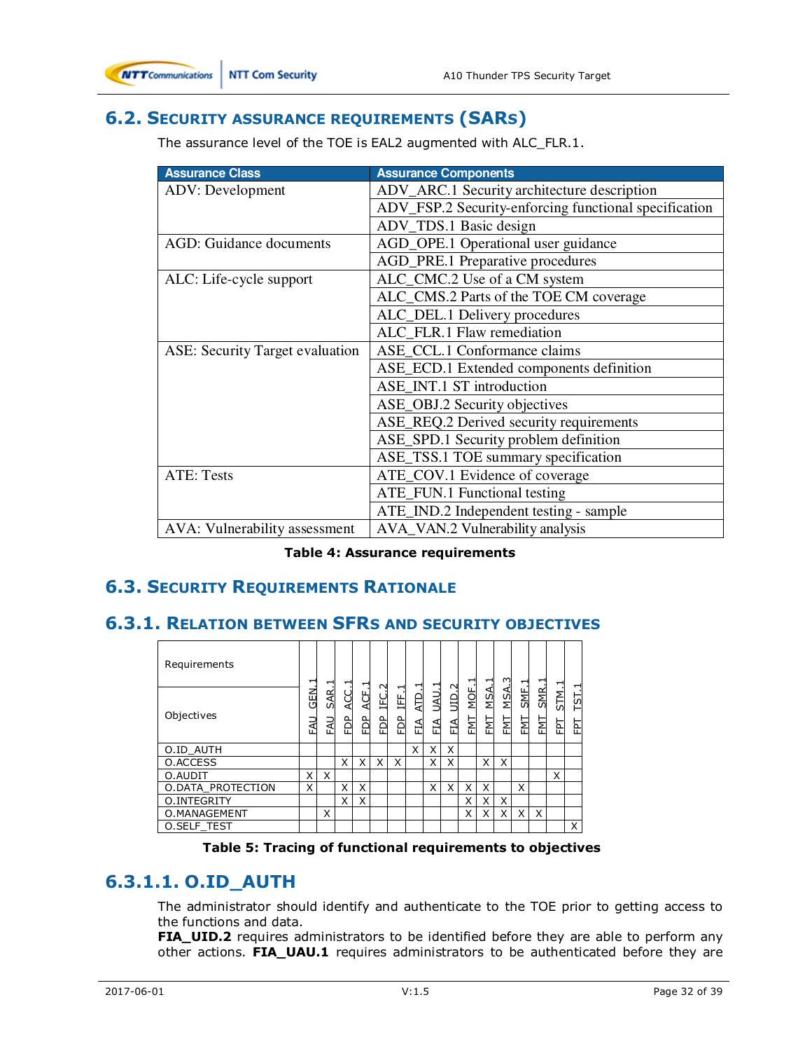

# **6.2. SECURITY ASSURANCE REQUIREMENTS (SARS)**

The assurance level of the TOE is EAL2 augmented with ALC\_FLR.1.

| <b>Assurance Class</b>                 | <b>Assurance Components</b>                           |
|----------------------------------------|-------------------------------------------------------|
| <b>ADV:</b> Development                | ADV_ARC.1 Security architecture description           |
|                                        | ADV_FSP.2 Security-enforcing functional specification |
|                                        | ADV_TDS.1 Basic design                                |
| <b>AGD:</b> Guidance documents         | AGD_OPE.1 Operational user guidance                   |
|                                        | AGD_PRE.1 Preparative procedures                      |
| ALC: Life-cycle support                | ALC_CMC.2 Use of a CM system                          |
|                                        | ALC_CMS.2 Parts of the TOE CM coverage                |
|                                        | ALC_DEL.1 Delivery procedures                         |
|                                        | ALC_FLR.1 Flaw remediation                            |
| <b>ASE: Security Target evaluation</b> | ASE_CCL.1 Conformance claims                          |
|                                        | ASE_ECD.1 Extended components definition              |
|                                        | ASE_INT.1 ST introduction                             |
|                                        | ASE_OBJ.2 Security objectives                         |
|                                        | ASE_REQ.2 Derived security requirements               |
|                                        | ASE_SPD.1 Security problem definition                 |
|                                        | ASE_TSS.1 TOE summary specification                   |
| <b>ATE: Tests</b>                      | ATE_COV.1 Evidence of coverage                        |
|                                        | ATE_FUN.1 Functional testing                          |
|                                        | ATE_IND.2 Independent testing - sample                |
| AVA: Vulnerability assessment          | AVA_VAN.2 Vulnerability analysis                      |

**Table 4: Assurance requirements** 

# **6.3. SECURITY REQUIREMENTS RATIONALE**

## **6.3.1. RELATION BETWEEN SFRS AND SECURITY OBJECTIVES**

| Requirements       | ↽           | ⊣                 | ⊣                      | ᆏ         | $\sim$      |                | ᆏ                 | ⊣           | $\sim$               | ⊣           |                 | m                 | ᅱ           | ᅱ           | ᆏ         | ⊣         |
|--------------------|-------------|-------------------|------------------------|-----------|-------------|----------------|-------------------|-------------|----------------------|-------------|-----------------|-------------------|-------------|-------------|-----------|-----------|
| Objectives         | GEN.<br>EAU | SAR<br><b>LAU</b> | 25R<br>PD <sub>P</sub> | 4CF.<br>È | ن<br>H<br>È | ᆏ<br>IFF.<br>읍 | <b>ATD</b><br>FIA | UAU.<br>FIA | $\frac{1}{2}$<br>ΕIΑ | MOF.<br>ENT | <b>MSA</b><br>접 | <b>MSA</b><br>ENT | SME.<br>EMI | SMR.<br>ENT | STM.<br>답 | TST.<br>답 |
| O.ID AUTH          |             |                   |                        |           |             |                | X                 | X           | X                    |             |                 |                   |             |             |           |           |
| O.ACCESS           |             |                   | X                      | x         | X           | x              |                   | X           | X                    |             | X               | x                 |             |             |           |           |
| O.AUDIT            | X           | X                 |                        |           |             |                |                   |             |                      |             |                 |                   |             |             | X         |           |
| O.DATA PROTECTION  | X           |                   | X                      | Χ         |             |                |                   | X           | X                    | X           | x               |                   | X           |             |           |           |
| O.INTEGRITY        |             |                   | X                      | X         |             |                |                   |             |                      | Χ           | Χ               | X                 |             |             |           |           |
| O.MANAGEMENT       |             | X                 |                        |           |             |                |                   |             |                      | x           | X               | X                 | X           | X           |           |           |
| <b>O.SELF TEST</b> |             |                   |                        |           |             |                |                   |             |                      |             |                 |                   |             |             |           | X         |

#### **Table 5: Tracing of functional requirements to objectives**

# **6.3.1.1. O.ID\_AUTH**

The administrator should identify and authenticate to the TOE prior to getting access to the functions and data.

FIA\_UID.2 requires administrators to be identified before they are able to perform any other actions. **FIA\_UAU.1** requires administrators to be authenticated before they are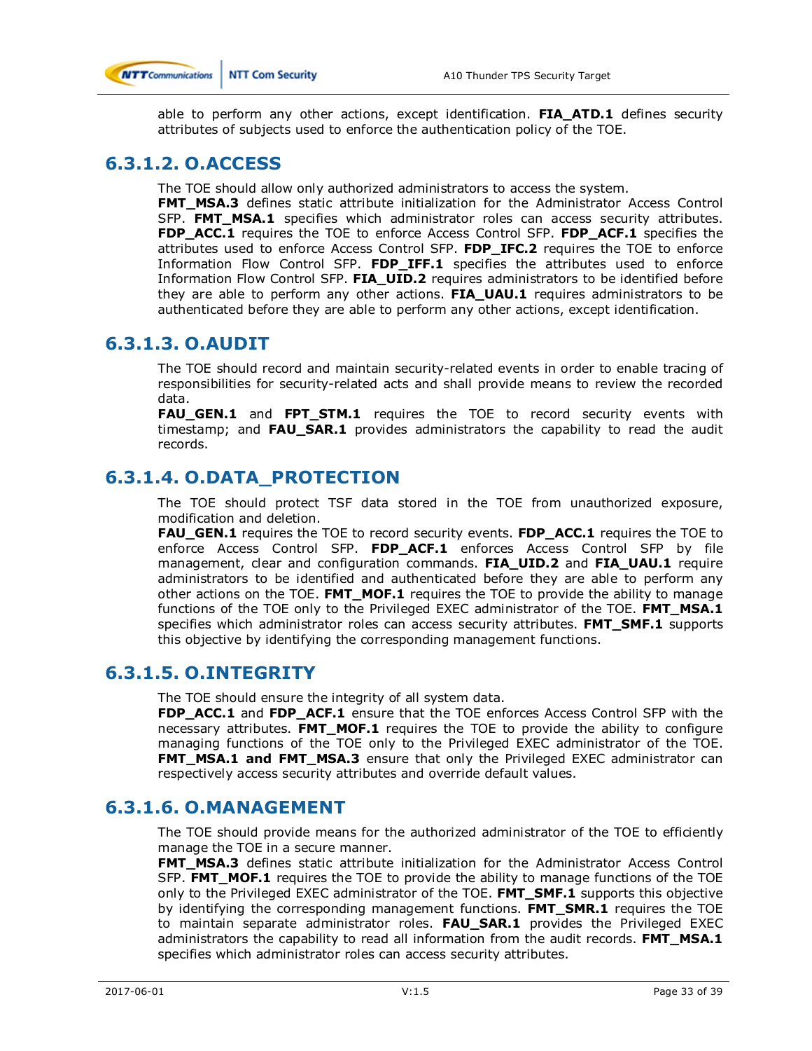

able to perform any other actions, except identification. **FIA\_ATD.1** defines security attributes of subjects used to enforce the authentication policy of the TOE.

# **6.3.1.2. O.ACCESS**

The TOE should allow only authorized administrators to access the system.

**FMT\_MSA.3** defines static attribute initialization for the Administrator Access Control SFP. **FMT\_MSA.1** specifies which administrator roles can access security attributes. **FDP\_ACC.1** requires the TOE to enforce Access Control SFP. **FDP\_ACF.1** specifies the attributes used to enforce Access Control SFP. **FDP\_IFC.2** requires the TOE to enforce Information Flow Control SFP. **FDP\_IFF.1** specifies the attributes used to enforce Information Flow Control SFP. **FIA\_UID.2** requires administrators to be identified before they are able to perform any other actions. **FIA\_UAU.1** requires administrators to be authenticated before they are able to perform any other actions, except identification.

# **6.3.1.3. O.AUDIT**

The TOE should record and maintain security-related events in order to enable tracing of responsibilities for security-related acts and shall provide means to review the recorded data.

**FAU\_GEN.1** and **FPT\_STM.1** requires the TOE to record security events with timestamp; and **FAU\_SAR.1** provides administrators the capability to read the audit records.

# **6.3.1.4. O.DATA\_PROTECTION**

The TOE should protect TSF data stored in the TOE from unauthorized exposure, modification and deletion.

**FAU\_GEN.1** requires the TOE to record security events. **FDP\_ACC.1** requires the TOE to enforce Access Control SFP. **FDP\_ACF.1** enforces Access Control SFP by file management, clear and configuration commands. **FIA\_UID.2** and **FIA\_UAU.1** require administrators to be identified and authenticated before they are able to perform any other actions on the TOE. FMT MOF.1 requires the TOE to provide the ability to manage functions of the TOE only to the Privileged EXEC administrator of the TOE. **FMT\_MSA.1**  specifies which administrator roles can access security attributes. **FMT\_SMF.1** supports this objective by identifying the corresponding management functions.

# **6.3.1.5. O.INTEGRITY**

The TOE should ensure the integrity of all system data.

**FDP\_ACC.1** and **FDP\_ACF.1** ensure that the TOE enforces Access Control SFP with the necessary attributes. **FMT\_MOF.1** requires the TOE to provide the ability to configure managing functions of the TOE only to the Privileged EXEC administrator of the TOE. **FMT\_MSA.1 and FMT\_MSA.3** ensure that only the Privileged EXEC administrator can respectively access security attributes and override default values.

# **6.3.1.6. O.MANAGEMENT**

The TOE should provide means for the authorized administrator of the TOE to efficiently manage the TOE in a secure manner.

**FMT\_MSA.3** defines static attribute initialization for the Administrator Access Control SFP. **FMT\_MOF.1** requires the TOE to provide the ability to manage functions of the TOE only to the Privileged EXEC administrator of the TOE. **FMT\_SMF.1** supports this objective by identifying the corresponding management functions. **FMT\_SMR.1** requires the TOE to maintain separate administrator roles. **FAU\_SAR.1** provides the Privileged EXEC administrators the capability to read all information from the audit records. **FMT\_MSA.1**  specifies which administrator roles can access security attributes.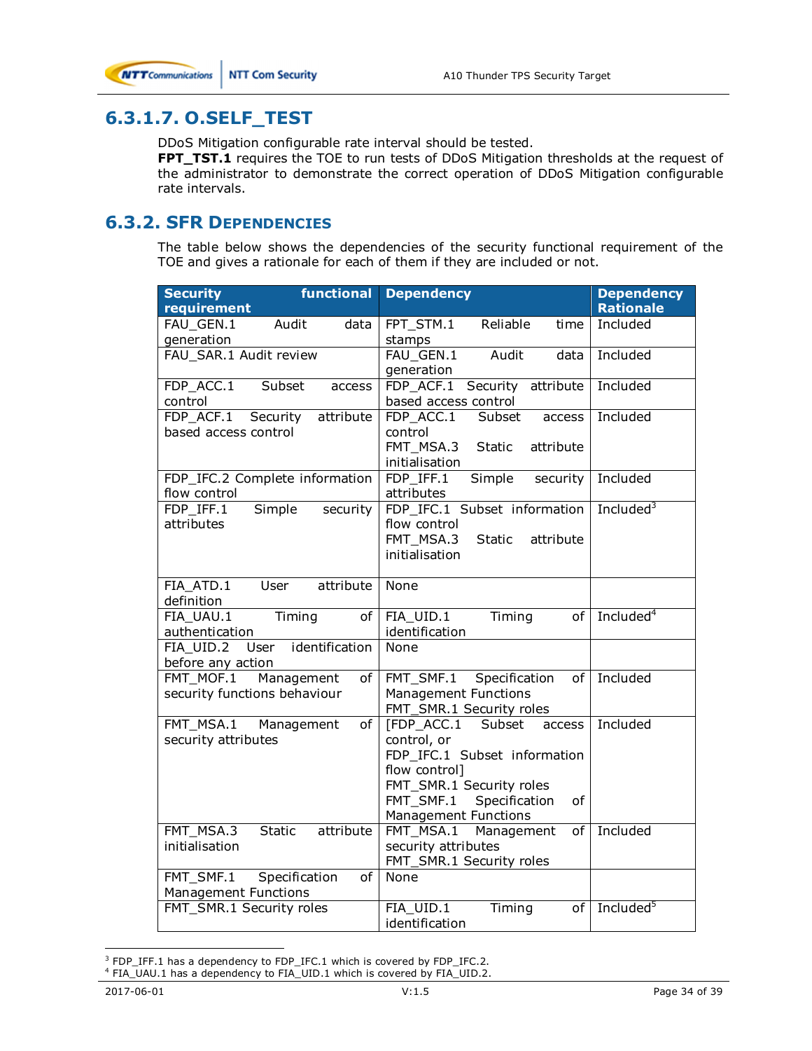# **6.3.1.7. O.SELF\_TEST**

DDoS Mitigation configurable rate interval should be tested.

**FPT\_TST.1** requires the TOE to run tests of DDoS Mitigation thresholds at the request of the administrator to demonstrate the correct operation of DDoS Mitigation configurable rate intervals.

### **6.3.2. SFR DEPENDENCIES**

The table below shows the dependencies of the security functional requirement of the TOE and gives a rationale for each of them if they are included or not.

| <b>Security</b><br>functional<br>requirement                    | <b>Dependency</b>                             | <b>Dependency</b><br><b>Rationale</b> |
|-----------------------------------------------------------------|-----------------------------------------------|---------------------------------------|
| FAU GEN.1<br>Audit<br>data                                      | FPT STM.1<br>Reliable<br>time                 | Included                              |
| qeneration                                                      | stamps                                        |                                       |
| FAU SAR.1 Audit review                                          | FAU GEN.1<br>Audit<br>data                    | Included                              |
|                                                                 | generation                                    |                                       |
| FDP ACC.1<br>Subset<br>access                                   | FDP ACF.1<br>Security attribute               | Included                              |
| control                                                         | based access control                          |                                       |
| attribute<br>FDP ACF.1<br>Security                              | FDP ACC.1<br>Subset<br>access                 | Included                              |
| based access control                                            | control                                       |                                       |
|                                                                 | FMT MSA.3<br>attribute<br><b>Static</b>       |                                       |
|                                                                 | initialisation                                |                                       |
| FDP_IFC.2 Complete information                                  | FDP IFF.1<br>Simple<br>security<br>attributes | Included                              |
| flow control<br><b>Simple</b><br>security<br>FDP IFF.1          | FDP IFC.1 Subset information                  | Included <sup>3</sup>                 |
| attributes                                                      | flow control                                  |                                       |
|                                                                 | FMT MSA.3<br><b>Static</b><br>attribute       |                                       |
|                                                                 | initialisation                                |                                       |
|                                                                 |                                               |                                       |
| FIA ATD.1<br>attribute<br>User                                  | None                                          |                                       |
| definition                                                      |                                               |                                       |
| FIA UAU.1<br>Timing<br>of                                       | FIA UID.1<br>of<br>Timing                     | Included <sup>4</sup>                 |
| authentication                                                  | identification                                |                                       |
| User identification<br>FIA UID.2                                | None                                          |                                       |
| before any action<br>FMT MOF.1<br>Management<br>of              | FMT_SMF.1<br>of                               | Included                              |
| security functions behaviour                                    | Specification<br><b>Management Functions</b>  |                                       |
|                                                                 | FMT_SMR.1 Security roles                      |                                       |
| FMT MSA.1<br>Management<br>0f                                   | [FDP_ACC.1<br>Subset<br>access                | Included                              |
| security attributes                                             | control, or                                   |                                       |
|                                                                 | FDP IFC.1 Subset information                  |                                       |
|                                                                 | flow control]                                 |                                       |
|                                                                 | FMT SMR.1 Security roles                      |                                       |
|                                                                 | FMT SMF.1<br>Specification<br>of              |                                       |
|                                                                 | <b>Management Functions</b>                   |                                       |
| attribute<br>FMT_MSA.3<br>Static                                | FMT MSA.1<br>Management<br>of                 | Included                              |
| initialisation                                                  | security attributes                           |                                       |
|                                                                 | FMT_SMR.1 Security roles                      |                                       |
| FMT SMF.1<br>Specification<br>οf<br><b>Management Functions</b> | None                                          |                                       |
| FMT SMR.1 Security roles                                        | FIA UID.1<br>Timing<br>of                     | Included <sup>5</sup>                 |
|                                                                 | identification                                |                                       |

 $\overline{a}$  $3$  FDP\_IFF.1 has a dependency to FDP\_IFC.1 which is covered by FDP\_IFC.2.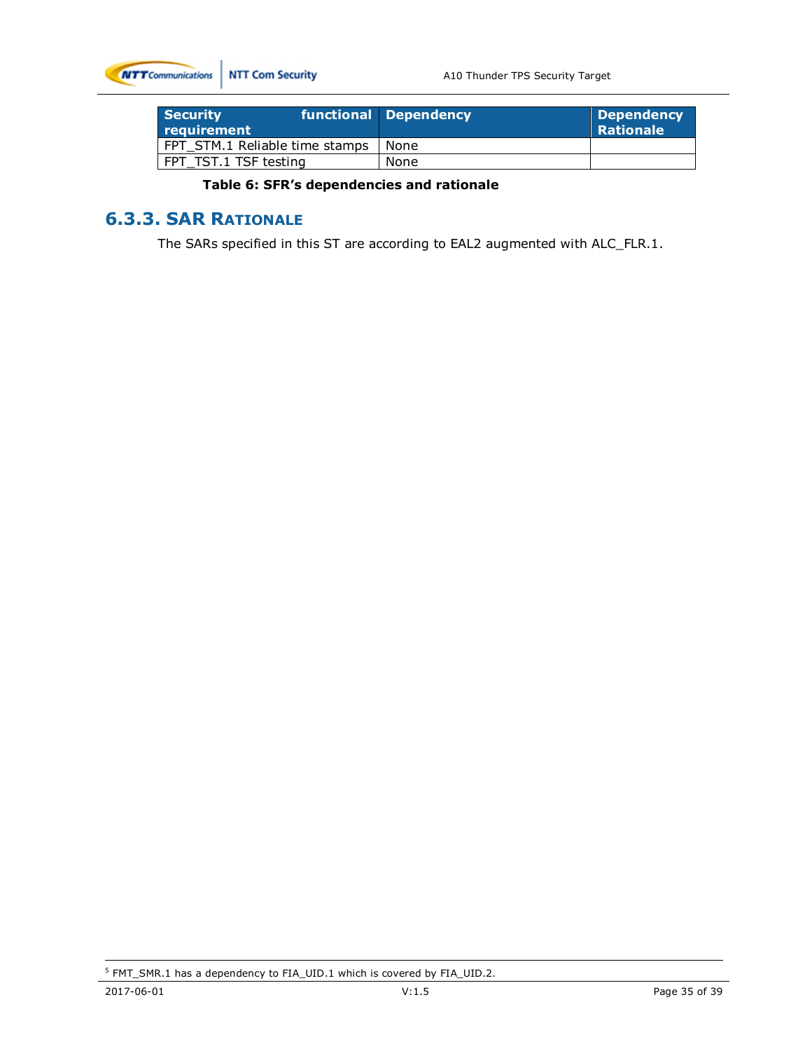

| <b>Security</b><br>requirement | functional Dependency | <b>Dependency</b><br><b>Rationale</b> |
|--------------------------------|-----------------------|---------------------------------------|
| FPT STM.1 Reliable time stamps | None                  |                                       |
| FPT TST.1 TSF testing          | None                  |                                       |

### **Table 6: SFR's dependencies and rationale**

# **6.3.3. SAR RATIONALE**

The SARs specified in this ST are according to EAL2 augmented with ALC\_FLR.1.

<sup>&</sup>lt;sup>5</sup> FMT\_SMR.1 has a dependency to FIA\_UID.1 which is covered by FIA\_UID.2.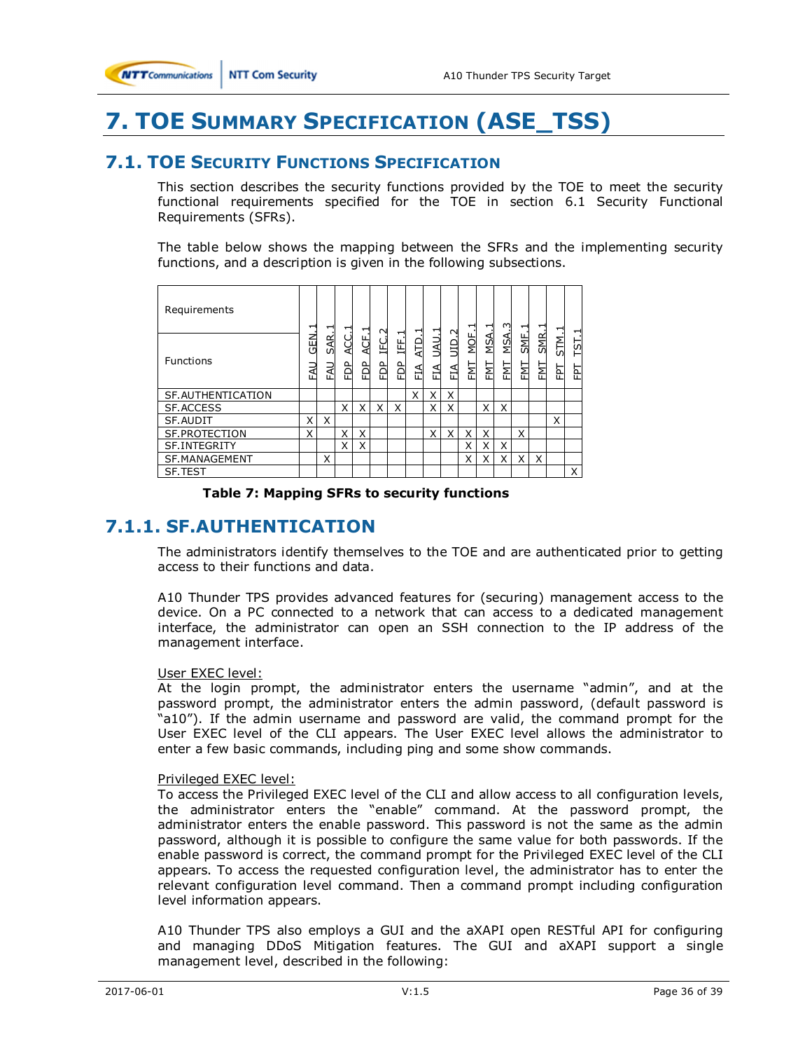# **7. TOE SUMMARY SPECIFICATION (ASE\_TSS)**

## **7.1. TOE SECURITY FUNCTIONS SPECIFICATION**

This section describes the security functions provided by the TOE to meet the security functional requirements specified for the TOE in section 6.1 Security Functional Requirements (SFRs).

The table below shows the mapping between the SFRs and the implementing security functions, and a description is given in the following subsections.

| Requirements        | −                 | ᅱ                | −      | −            | N      |             | ᅱ        | ᆏ          | $\sim$     | ↽           | ⊣               | ო         | ᆏ           |                   | ᆏ         |            |
|---------------------|-------------------|------------------|--------|--------------|--------|-------------|----------|------------|------------|-------------|-----------------|-----------|-------------|-------------------|-----------|------------|
| <b>Functions</b>    | 집<br>5<br>₹<br>ட் | AR.<br>σī<br>EAU | ğ<br>쉽 | ہے<br>4<br>È | 입<br>È | ᆏ<br>出<br>읍 | 읍<br>FIA | UAU.<br>ÉÁ | ЛD.<br>FIA | MOF.<br>FMT | <b>MSA</b><br>눱 | MSA<br>ĔΣ | SNE.<br>FMT | <b>SMR</b><br>ENT | STM.<br>콭 | TST.1<br>귵 |
| SF. AUTHENTICATION  |                   |                  |        |              |        |             | X        | X          | Χ          |             |                 |           |             |                   |           |            |
| <b>SF.ACCESS</b>    |                   |                  | X      | X            | X      | X           |          | X          | X          |             | X               | X         |             |                   |           |            |
| SF.AUDIT            | X                 | X                |        |              |        |             |          |            |            |             |                 |           |             |                   | X         |            |
| SF.PROTECTION       | X                 |                  | X      | X            |        |             |          | X          | X          | X           | X               |           | x           |                   |           |            |
| <b>SF.INTEGRITY</b> |                   |                  | X      | X            |        |             |          |            |            | X           | X               | X         |             |                   |           |            |
| SF.MANAGEMENT       |                   | Χ                |        |              |        |             |          |            |            | X           | Χ               | X         | X           | X                 |           |            |
| SF.TEST             |                   |                  |        |              |        |             |          |            |            |             |                 |           |             |                   |           | X          |

#### **Table 7: Mapping SFRs to security functions**

# **7.1.1. SF.AUTHENTICATION**

The administrators identify themselves to the TOE and are authenticated prior to getting access to their functions and data.

A10 Thunder TPS provides advanced features for (securing) management access to the device. On a PC connected to a network that can access to a dedicated management interface, the administrator can open an SSH connection to the IP address of the management interface.

#### User EXEC level:

At the login prompt, the administrator enters the username "admin", and at the password prompt, the administrator enters the admin password, (default password is "a10"). If the admin username and password are valid, the command prompt for the User EXEC level of the CLI appears. The User EXEC level allows the administrator to enter a few basic commands, including ping and some show commands.

#### Privileged EXEC level:

To access the Privileged EXEC level of the CLI and allow access to all configuration levels, the administrator enters the "enable" command. At the password prompt, the administrator enters the enable password. This password is not the same as the admin password, although it is possible to configure the same value for both passwords. If the enable password is correct, the command prompt for the Privileged EXEC level of the CLI appears. To access the requested configuration level, the administrator has to enter the relevant configuration level command. Then a command prompt including configuration level information appears.

A10 Thunder TPS also employs a GUI and the aXAPI open RESTful API for configuring and managing DDoS Mitigation features. The GUI and aXAPI support a single management level, described in the following: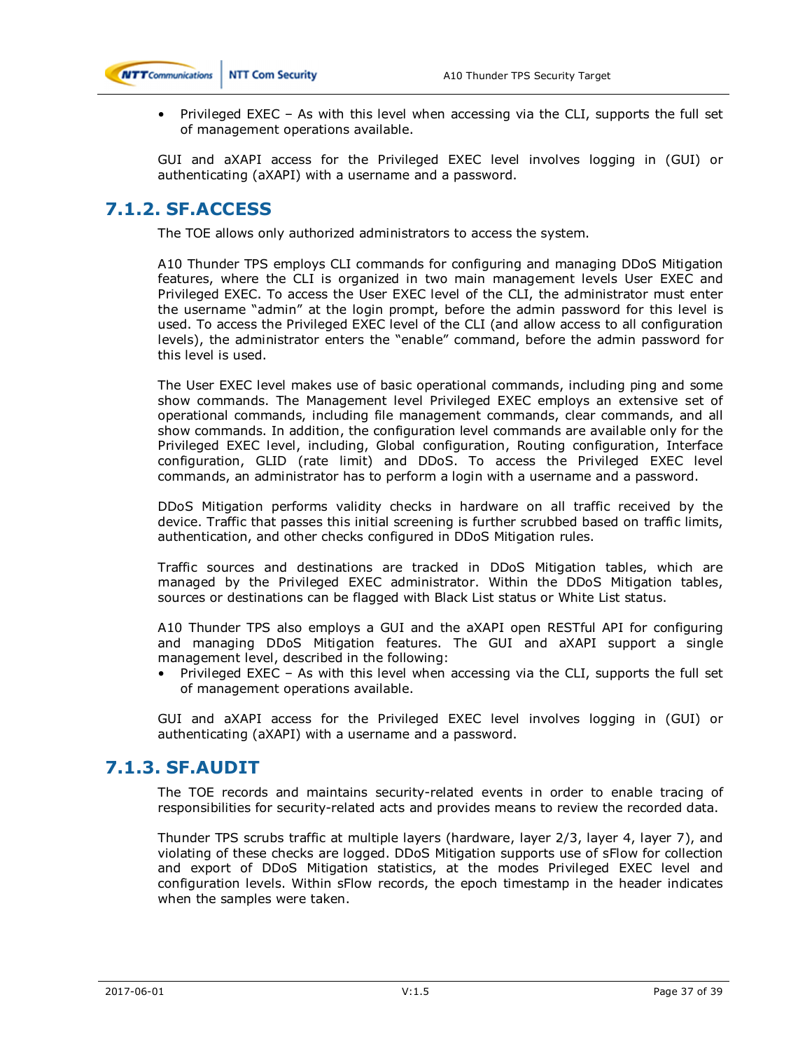

• Privileged EXEC – As with this level when accessing via the CLI, supports the full set of management operations available.

GUI and aXAPI access for the Privileged EXEC level involves logging in (GUI) or authenticating (aXAPI) with a username and a password.

## **7.1.2. SF.ACCESS**

The TOE allows only authorized administrators to access the system.

A10 Thunder TPS employs CLI commands for configuring and managing DDoS Mitigation features, where the CLI is organized in two main management levels User EXEC and Privileged EXEC. To access the User EXEC level of the CLI, the administrator must enter the username "admin" at the login prompt, before the admin password for this level is used. To access the Privileged EXEC level of the CLI (and allow access to all configuration levels), the administrator enters the "enable" command, before the admin password for this level is used.

The User EXEC level makes use of basic operational commands, including ping and some show commands. The Management level Privileged EXEC employs an extensive set of operational commands, including file management commands, clear commands, and all show commands. In addition, the configuration level commands are available only for the Privileged EXEC level, including, Global configuration, Routing configuration, Interface configuration, GLID (rate limit) and DDoS. To access the Privileged EXEC level commands, an administrator has to perform a login with a username and a password.

DDoS Mitigation performs validity checks in hardware on all traffic received by the device. Traffic that passes this initial screening is further scrubbed based on traffic limits, authentication, and other checks configured in DDoS Mitigation rules.

Traffic sources and destinations are tracked in DDoS Mitigation tables, which are managed by the Privileged EXEC administrator. Within the DDoS Mitigation tables, sources or destinations can be flagged with Black List status or White List status.

A10 Thunder TPS also employs a GUI and the aXAPI open RESTful API for configuring and managing DDoS Mitigation features. The GUI and aXAPI support a single management level, described in the following:

• Privileged EXEC – As with this level when accessing via the CLI, supports the full set of management operations available.

GUI and aXAPI access for the Privileged EXEC level involves logging in (GUI) or authenticating (aXAPI) with a username and a password.

# **7.1.3. SF.AUDIT**

The TOE records and maintains security-related events in order to enable tracing of responsibilities for security-related acts and provides means to review the recorded data.

Thunder TPS scrubs traffic at multiple layers (hardware, layer 2/3, layer 4, layer 7), and violating of these checks are logged. DDoS Mitigation supports use of sFlow for collection and export of DDoS Mitigation statistics, at the modes Privileged EXEC level and configuration levels. Within sFlow records, the epoch timestamp in the header indicates when the samples were taken.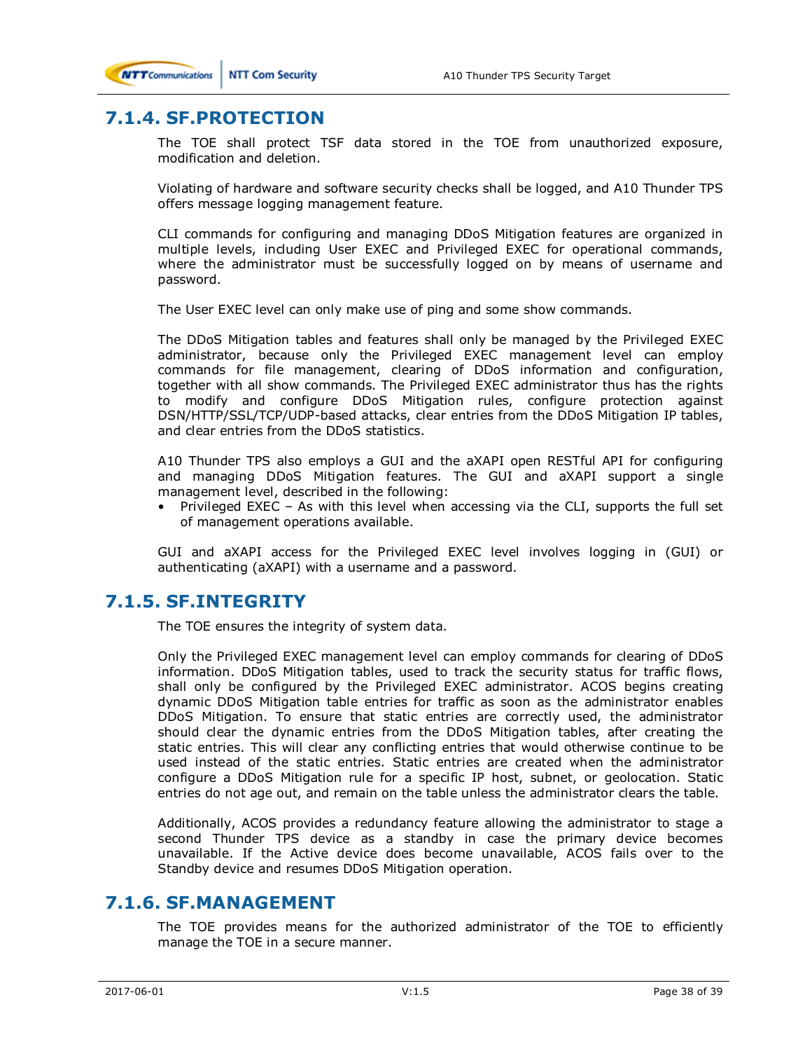

# **7.1.4. SF.PROTECTION**

The TOE shall protect TSF data stored in the TOE from unauthorized exposure, modification and deletion.

Violating of hardware and software security checks shall be logged, and A10 Thunder TPS offers message logging management feature.

CLI commands for configuring and managing DDoS Mitigation features are organized in multiple levels, including User EXEC and Privileged EXEC for operational commands, where the administrator must be successfully logged on by means of username and password.

The User EXEC level can only make use of ping and some show commands.

The DDoS Mitigation tables and features shall only be managed by the Privileged EXEC administrator, because only the Privileged EXEC management level can employ commands for file management, clearing of DDoS information and configuration, together with all show commands. The Privileged EXEC administrator thus has the rights to modify and configure DDoS Mitigation rules, configure protection against DSN/HTTP/SSL/TCP/UDP-based attacks, clear entries from the DDoS Mitigation IP tables, and clear entries from the DDoS statistics.

A10 Thunder TPS also employs a GUI and the aXAPI open RESTful API for configuring and managing DDoS Mitigation features. The GUI and aXAPI support a single management level, described in the following:

• Privileged EXEC – As with this level when accessing via the CLI, supports the full set of management operations available.

GUI and aXAPI access for the Privileged EXEC level involves logging in (GUI) or authenticating (aXAPI) with a username and a password.

## **7.1.5. SF.INTEGRITY**

The TOE ensures the integrity of system data.

Only the Privileged EXEC management level can employ commands for clearing of DDoS information. DDoS Mitigation tables, used to track the security status for traffic flows, shall only be configured by the Privileged EXEC administrator. ACOS begins creating dynamic DDoS Mitigation table entries for traffic as soon as the administrator enables DDoS Mitigation. To ensure that static entries are correctly used, the administrator should clear the dynamic entries from the DDoS Mitigation tables, after creating the static entries. This will clear any conflicting entries that would otherwise continue to be used instead of the static entries. Static entries are created when the administrator configure a DDoS Mitigation rule for a specific IP host, subnet, or geolocation. Static entries do not age out, and remain on the table unless the administrator clears the table.

Additionally, ACOS provides a redundancy feature allowing the administrator to stage a second Thunder TPS device as a standby in case the primary device becomes unavailable. If the Active device does become unavailable, ACOS fails over to the Standby device and resumes DDoS Mitigation operation.

## **7.1.6. SF.MANAGEMENT**

The TOE provides means for the authorized administrator of the TOE to efficiently manage the TOE in a secure manner.